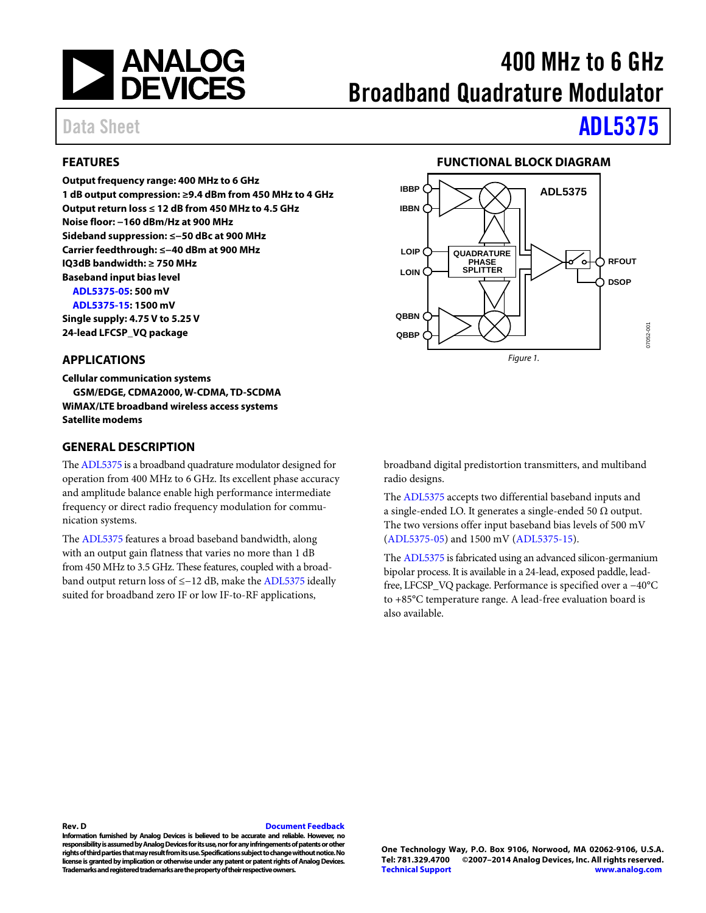

# 400 MHz to 6 GHz Broadband Quadrature Modulator

## Data Sheet **[ADL5375](http://www.analog.com/ADL5375?doc=ADL5375.pdf)**

### <span id="page-0-0"></span>**FEATURES**

**Output frequency range: 400 MHz to 6 GHz 1 dB output compression: ≥9.4 dBm from 450 MHz to 4 GHz Output return loss ≤ 12 dB from 450 MHz to 4.5 GHz Noise floor: −160 dBm/Hz at 900 MHz Sideband suppression: ≤−50 dBc at 900 MHz Carrier feedthrough: ≤−40 dBm at 900 MHz IQ3dB bandwidth: ≥ 750 MHz Baseband input bias level [ADL5375-05:](http://www.analog.com/ADL5375?doc=ADL5375.pdf) 500 mV [ADL5375-15:](http://www.analog.com/ADL5375?doc=ADL5375.pdf) 1500 mV** 

**Single supply: 4.75 V to 5.25 V 24-lead LFCSP\_VQ package** 

#### <span id="page-0-1"></span>**APPLICATIONS**

**Cellular communication systems GSM/EDGE, CDMA2000, W-CDMA, TD-SCDMA WiMAX/LTE broadband wireless access systems Satellite modems** 

#### <span id="page-0-3"></span>**GENERAL DESCRIPTION**

Th[e ADL5375 i](http://www.analog.com/ADL5375?doc=ADL5375.pdf)s a broadband quadrature modulator designed for operation from 400 MHz to 6 GHz. Its excellent phase accuracy and amplitude balance enable high performance intermediate frequency or direct radio frequency modulation for communication systems.

The [ADL5375 f](http://www.analog.com/ADL5375?doc=ADL5375.pdf)eatures a broad baseband bandwidth, along with an output gain flatness that varies no more than 1 dB from 450 MHz to 3.5 GHz. These features, coupled with a broadband output return loss of ≤−12 dB, make the [ADL5375 i](http://www.analog.com/ADL5375?doc=ADL5375.pdf)deally suited for broadband zero IF or low IF-to-RF applications,

#### **FUNCTIONAL BLOCK DIAGRAM**

<span id="page-0-2"></span>

broadband digital predistortion transmitters, and multiband radio designs.

The [ADL5375 a](http://www.analog.com/ADL5375?doc=ADL5375.pdf)ccepts two differential baseband inputs and a single-ended LO. It generates a single-ended 50  $\Omega$  output. The two versions offer input baseband bias levels of 500 mV [\(ADL5375-05\)](http://www.analog.com/ADL5375?doc=ADL5375.pdf) and 1500 mV [\(ADL5375-15\)](http://www.analog.com/ADL5375?doc=ADL5375.pdf).

The [ADL5375 i](http://www.analog.com/ADL5375?doc=ADL5375.pdf)s fabricated using an advanced silicon-germanium bipolar process. It is available in a 24-lead, exposed paddle, leadfree, LFCSP\_VQ package. Performance is specified over a −40°C to +85°C temperature range. A lead-free evaluation board is also available.

#### **Rev. D [Document Feedback](https://form.analog.com/Form_Pages/feedback/documentfeedback.aspx?doc=ADL5375.pdf&product=ADL5375&rev=D)**

**Information furnished by Analog Devices is believed to be accurate and reliable. However, no responsibility is assumed by Analog Devices for its use, nor for any infringements of patents or other rights of third parties that may result from its use. Specifications subject to change without notice. No license is granted by implication or otherwise under any patent or patent rights of Analog Devices. Trademarks and registered trademarks are the property of their respective owners.**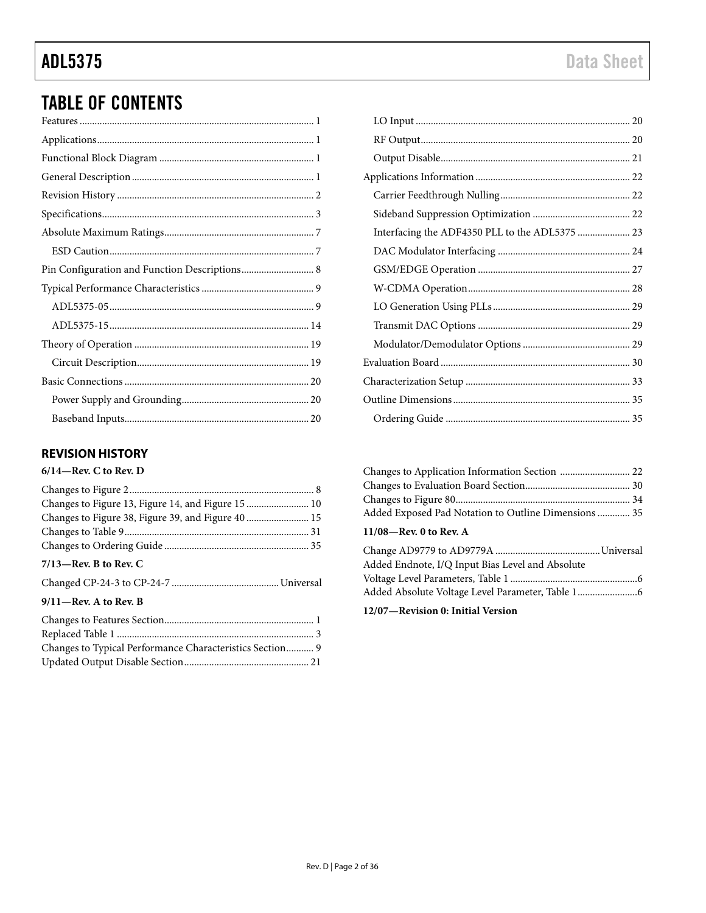## TABLE OF CONTENTS

### <span id="page-1-0"></span>**REVISION HISTORY**

#### **6/14—Rev. C to Rev. D**

| $7/13$ —Rev. B to Rev. C |  |
|--------------------------|--|

#### **9/11—Rev. A to Rev. B**

| Changes to Typical Performance Characteristics Section 9 |  |
|----------------------------------------------------------|--|
|                                                          |  |

| Interfacing the ADF4350 PLL to the ADL5375  23 |  |
|------------------------------------------------|--|
|                                                |  |
|                                                |  |
|                                                |  |
|                                                |  |
|                                                |  |
|                                                |  |
|                                                |  |
|                                                |  |
|                                                |  |
|                                                |  |

| Added Exposed Pad Notation to Outline Dimensions 35 |  |
|-----------------------------------------------------|--|
|                                                     |  |

### **11/08—Rev. 0 to Rev. A**

| Added Endnote, I/Q Input Bias Level and Absolute |  |
|--------------------------------------------------|--|
|                                                  |  |
|                                                  |  |

**12/07—Revision 0: Initial Version**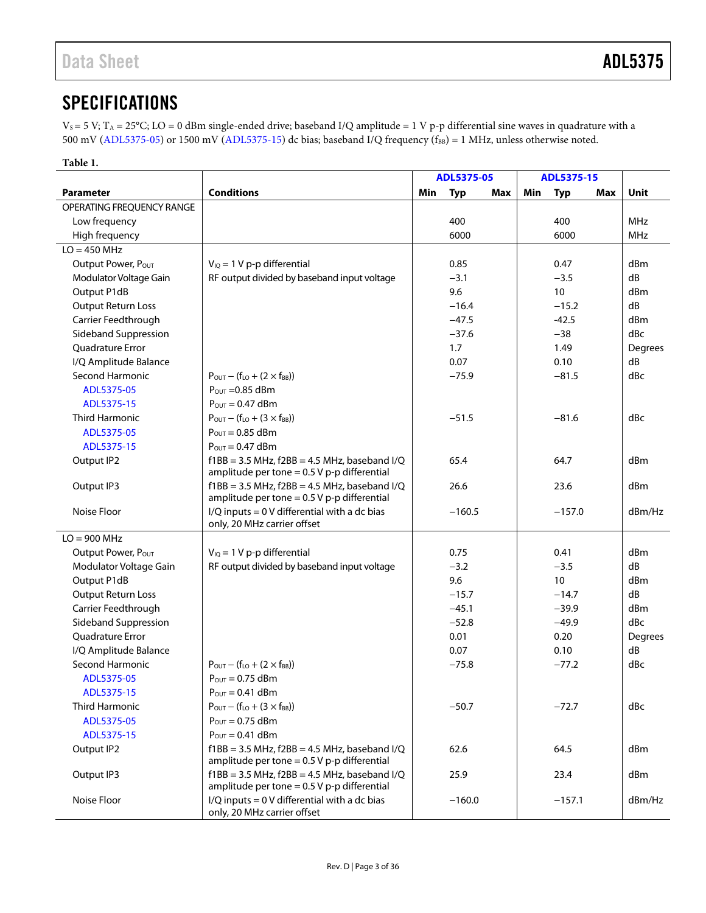## <span id="page-2-0"></span>**SPECIFICATIONS**

 $V_S = 5 V$ ; T<sub>A</sub> = 25°C; LO = 0 dBm single-ended drive; baseband I/Q amplitude = 1 V p-p differential sine waves in quadrature with a 500 mV [\(ADL5375-05\)](http://www.analog.com/ADL5375?doc=ADL5375.pdf) or 1500 mV [\(ADL5375-15\)](http://www.analog.com/ADL5375?doc=ADL5375.pdf) dc bias; baseband I/Q frequency ( $f_{BB}$ ) = 1 MHz, unless otherwise noted.

#### **Table 1.**

|                           |                                                                                                       |     | ADL5375-05 |     | ADL5375-15 |            |     |            |
|---------------------------|-------------------------------------------------------------------------------------------------------|-----|------------|-----|------------|------------|-----|------------|
| <b>Parameter</b>          | <b>Conditions</b>                                                                                     | Min | <b>Typ</b> | Max | Min        | <b>Typ</b> | Max | Unit       |
| OPERATING FREQUENCY RANGE |                                                                                                       |     |            |     |            |            |     |            |
| Low frequency             |                                                                                                       |     | 400        |     |            | 400        |     | <b>MHz</b> |
| High frequency            |                                                                                                       |     | 6000       |     |            | 6000       |     | MHz        |
| $LO = 450$ MHz            |                                                                                                       |     |            |     |            |            |     |            |
| Output Power, Pour        | $V_{IQ} = 1 V p-p$ differential                                                                       |     | 0.85       |     |            | 0.47       |     | dBm        |
| Modulator Voltage Gain    | RF output divided by baseband input voltage                                                           |     | $-3.1$     |     |            | $-3.5$     |     | dB         |
| Output P1dB               |                                                                                                       |     | 9.6        |     |            | 10         |     | dBm        |
| <b>Output Return Loss</b> |                                                                                                       |     | $-16.4$    |     |            | $-15.2$    |     | dB         |
| Carrier Feedthrough       |                                                                                                       |     | $-47.5$    |     |            | $-42.5$    |     | dBm        |
| Sideband Suppression      |                                                                                                       |     | $-37.6$    |     |            | $-38$      |     | dBc        |
| <b>Ouadrature Error</b>   |                                                                                                       |     | 1.7        |     |            | 1.49       |     | Degrees    |
| I/Q Amplitude Balance     |                                                                                                       |     | 0.07       |     |            | 0.10       |     | dB         |
| <b>Second Harmonic</b>    | $P_{\text{OUT}} - (f_{\text{LO}} + (2 \times f_{\text{BB}}))$                                         |     | $-75.9$    |     |            | $-81.5$    |     | dBc        |
| ADL5375-05                | $P_{\text{OUT}} = 0.85$ dBm                                                                           |     |            |     |            |            |     |            |
| ADL5375-15                | $P_{\text{OUT}} = 0.47$ dBm                                                                           |     |            |     |            |            |     |            |
| <b>Third Harmonic</b>     | $P_{OUT} - (f_{LO} + (3 \times f_{BB}))$                                                              |     | $-51.5$    |     |            | $-81.6$    |     | dBc        |
| ADL5375-05                | $P_{\text{OUT}} = 0.85$ dBm                                                                           |     |            |     |            |            |     |            |
| ADL5375-15                | $P_{\text{OUT}} = 0.47$ dBm                                                                           |     |            |     |            |            |     |            |
| Output IP2                | $f1BB = 3.5 MHz$ , $f2BB = 4.5 MHz$ , baseband I/Q<br>amplitude per tone = $0.5$ V p-p differential   |     | 65.4       |     |            | 64.7       |     | dBm        |
| Output IP3                | $f1BB = 3.5 MHz$ , $f2BB = 4.5 MHz$ , baseband I/Q<br>amplitude per tone = $0.5$ V p-p differential   |     | 26.6       |     |            | 23.6       |     | dBm        |
| Noise Floor               | $I/Q$ inputs = 0 V differential with a dc bias<br>only, 20 MHz carrier offset                         |     | $-160.5$   |     |            | $-157.0$   |     | dBm/Hz     |
| $LO = 900$ MHz            |                                                                                                       |     |            |     |            |            |     |            |
| Output Power, Pour        | $V_{IQ} = 1 V p-p$ differential                                                                       |     | 0.75       |     |            | 0.41       |     | dBm        |
| Modulator Voltage Gain    | RF output divided by baseband input voltage                                                           |     | $-3.2$     |     |            | $-3.5$     |     | dB         |
| Output P1dB               |                                                                                                       |     | 9.6        |     |            | 10         |     | dBm        |
| <b>Output Return Loss</b> |                                                                                                       |     | $-15.7$    |     |            | $-14.7$    |     | dB         |
| Carrier Feedthrough       |                                                                                                       |     | $-45.1$    |     |            | $-39.9$    |     | dBm        |
| Sideband Suppression      |                                                                                                       |     | $-52.8$    |     |            | $-49.9$    |     | dBc        |
| <b>Ouadrature Error</b>   |                                                                                                       |     | 0.01       |     |            | 0.20       |     | Degrees    |
| I/Q Amplitude Balance     |                                                                                                       |     | 0.07       |     |            | 0.10       |     | dB         |
| Second Harmonic           | $P_{\text{OUT}} - (f_{\text{LO}} + (2 \times f_{\text{BB}}))$                                         |     | $-75.8$    |     |            | $-77.2$    |     | dBc        |
| ADL5375-05                | $P_{OUT} = 0.75$ dBm                                                                                  |     |            |     |            |            |     |            |
| ADL5375-15                | $P_{OUT} = 0.41$ dBm                                                                                  |     |            |     |            |            |     |            |
| Third Harmonic            | $P_{OUT} - (f_{LO} + (3 \times f_{BB}))$                                                              |     | $-50.7$    |     |            | $-72.7$    |     | dBc        |
| ADL5375-05                | $P_{\text{OUT}} = 0.75$ dBm                                                                           |     |            |     |            |            |     |            |
| ADL5375-15                | $P_{OUT} = 0.41$ dBm                                                                                  |     |            |     |            |            |     |            |
| Output IP2                | $f1BB = 3.5 MHz$ , $f2BB = 4.5 MHz$ , baseband $I/Q$<br>amplitude per tone = $0.5$ V p-p differential |     | 62.6       |     |            | 64.5       |     | dBm        |
| Output IP3                | $f1BB = 3.5 MHz$ , $f2BB = 4.5 MHz$ , baseband I/Q<br>amplitude per tone = $0.5$ V p-p differential   |     | 25.9       |     |            | 23.4       |     | dBm        |
| Noise Floor               | $I/Q$ inputs = 0 V differential with a dc bias<br>only, 20 MHz carrier offset                         |     | $-160.0$   |     |            | $-157.1$   |     | dBm/Hz     |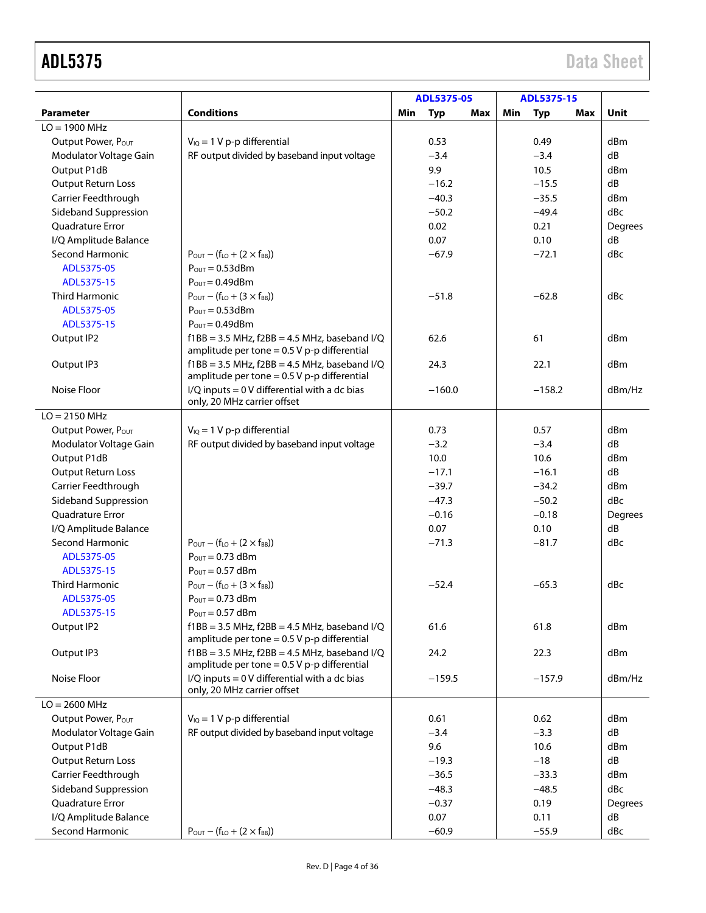|                           |                                                                                                     |     | ADL5375-05 |     | ADL5375-15 |            |     |             |
|---------------------------|-----------------------------------------------------------------------------------------------------|-----|------------|-----|------------|------------|-----|-------------|
| <b>Parameter</b>          | <b>Conditions</b>                                                                                   | Min | <b>Typ</b> | Max | Min        | <b>Typ</b> | Max | <b>Unit</b> |
| $LO = 1900$ MHz           |                                                                                                     |     |            |     |            |            |     |             |
| Output Power, POUT        | $V_{IQ} = 1 V p-p$ differential                                                                     |     | 0.53       |     |            | 0.49       |     | dBm         |
| Modulator Voltage Gain    | RF output divided by baseband input voltage                                                         |     | $-3.4$     |     |            | $-3.4$     |     | dB          |
| Output P1dB               |                                                                                                     |     | 9.9        |     |            | 10.5       |     | dBm         |
| <b>Output Return Loss</b> |                                                                                                     |     | $-16.2$    |     |            | $-15.5$    |     | dB          |
| Carrier Feedthrough       |                                                                                                     |     | $-40.3$    |     |            | $-35.5$    |     | dBm         |
| Sideband Suppression      |                                                                                                     |     | $-50.2$    |     |            | $-49.4$    |     | dBc         |
| <b>Ouadrature Error</b>   |                                                                                                     |     | 0.02       |     |            | 0.21       |     | Degrees     |
| I/Q Amplitude Balance     |                                                                                                     |     | 0.07       |     |            | 0.10       |     | dB          |
| <b>Second Harmonic</b>    | $P_{\text{OUT}} - (f_{\text{LO}} + (2 \times f_{\text{BB}}))$                                       |     | $-67.9$    |     |            | $-72.1$    |     | dBc         |
| ADL5375-05                | $P_{OUT} = 0.53$ dBm                                                                                |     |            |     |            |            |     |             |
| ADL5375-15                | $P_{\text{OUT}} = 0.49$ d $Bm$                                                                      |     |            |     |            |            |     |             |
| <b>Third Harmonic</b>     | $P_{OUT} - (f_{LO} + (3 \times f_{BB}))$                                                            |     | $-51.8$    |     |            | $-62.8$    |     | dBc         |
| ADL5375-05                | $P_{\text{OUT}} = 0.53$ dBm                                                                         |     |            |     |            |            |     |             |
| ADL5375-15                | $P_{OUT} = 0.49$ dBm                                                                                |     |            |     |            |            |     |             |
| Output IP2                | $f1BB = 3.5 MHz$ , $f2BB = 4.5 MHz$ , baseband I/Q                                                  |     | 62.6       |     |            | 61         |     | dBm         |
|                           | amplitude per tone = $0.5$ V p-p differential                                                       |     |            |     |            |            |     |             |
| Output IP3                | $f1BB = 3.5 MHz$ , $f2BB = 4.5 MHz$ , baseband I/Q<br>amplitude per tone = $0.5$ V p-p differential |     | 24.3       |     |            | 22.1       |     | dBm         |
| Noise Floor               | $I/Q$ inputs = 0 V differential with a dc bias<br>only, 20 MHz carrier offset                       |     | $-160.0$   |     |            | $-158.2$   |     | dBm/Hz      |
| $LO = 2150 MHz$           |                                                                                                     |     |            |     |            |            |     |             |
| Output Power, Pour        | $V_{IQ} = 1 V p-p$ differential                                                                     |     | 0.73       |     |            | 0.57       |     | dBm         |
| Modulator Voltage Gain    | RF output divided by baseband input voltage                                                         |     | $-3.2$     |     |            | $-3.4$     |     | dB          |
| Output P1dB               |                                                                                                     |     | 10.0       |     |            | 10.6       |     | dBm         |
| <b>Output Return Loss</b> |                                                                                                     |     | $-17.1$    |     |            | $-16.1$    |     | dB          |
| Carrier Feedthrough       |                                                                                                     |     | $-39.7$    |     |            | $-34.2$    |     | dBm         |
| Sideband Suppression      |                                                                                                     |     | $-47.3$    |     |            | $-50.2$    |     | dBc         |
| <b>Ouadrature Error</b>   |                                                                                                     |     | $-0.16$    |     |            | $-0.18$    |     | Degrees     |
| I/Q Amplitude Balance     |                                                                                                     |     | 0.07       |     |            | 0.10       |     | dB          |
| Second Harmonic           | $P_{\text{OUT}} - (f_{\text{LO}} + (2 \times f_{\text{BB}}))$                                       |     | $-71.3$    |     |            | $-81.7$    |     | dBc         |
|                           |                                                                                                     |     |            |     |            |            |     |             |
| ADL5375-05                | $P_{OUT} = 0.73$ dBm                                                                                |     |            |     |            |            |     |             |
| ADL5375-15                | $P_{OUT} = 0.57$ dBm                                                                                |     |            |     |            |            |     |             |
| <b>Third Harmonic</b>     | $P_{OUT} - (f_{LO} + (3 \times f_{BB}))$                                                            |     | $-52.4$    |     |            | $-65.3$    |     | dBc         |
| ADL5375-05                | $P_{OUT} = 0.73$ dBm                                                                                |     |            |     |            |            |     |             |
| ADL5375-15                | $P_{\text{OUT}} = 0.57$ dBm                                                                         |     |            |     |            |            |     |             |
| Output IP2                | $f1BB = 3.5 MHz$ , $f2BB = 4.5 MHz$ , baseband I/Q<br>amplitude per tone = $0.5$ V p-p differential |     | 61.6       |     |            | 61.8       |     | dBm         |
| Output IP3                | $f1BB = 3.5 MHz$ , $f2BB = 4.5 MHz$ , baseband I/Q<br>amplitude per tone = $0.5$ V p-p differential |     | 24.2       |     |            | 22.3       |     | dBm         |
| Noise Floor               | $I/Q$ inputs = 0 V differential with a dc bias<br>only, 20 MHz carrier offset                       |     | $-159.5$   |     |            | $-157.9$   |     | dBm/Hz      |
| $LO = 2600 MHz$           |                                                                                                     |     |            |     |            |            |     |             |
| Output Power, Pour        | $V_{IQ} = 1 V p-p$ differential                                                                     |     | 0.61       |     |            | 0.62       |     | dBm         |
| Modulator Voltage Gain    | RF output divided by baseband input voltage                                                         |     | $-3.4$     |     |            | $-3.3$     |     | dB          |
| Output P1dB               |                                                                                                     |     | 9.6        |     |            | 10.6       |     | dBm         |
| <b>Output Return Loss</b> |                                                                                                     |     | $-19.3$    |     |            | $-18$      |     | dB          |
| Carrier Feedthrough       |                                                                                                     |     | $-36.5$    |     |            | $-33.3$    |     | dBm         |
| Sideband Suppression      |                                                                                                     |     | $-48.3$    |     |            | $-48.5$    |     | dBc         |
| Quadrature Error          |                                                                                                     |     | $-0.37$    |     |            | 0.19       |     | Degrees     |
| I/Q Amplitude Balance     |                                                                                                     |     | 0.07       |     |            | 0.11       |     | dB          |
| Second Harmonic           | $P_{OUT} - (f_{LO} + (2 \times f_{BB}))$                                                            |     | $-60.9$    |     |            | $-55.9$    |     | dBc         |
|                           |                                                                                                     |     |            |     |            |            |     |             |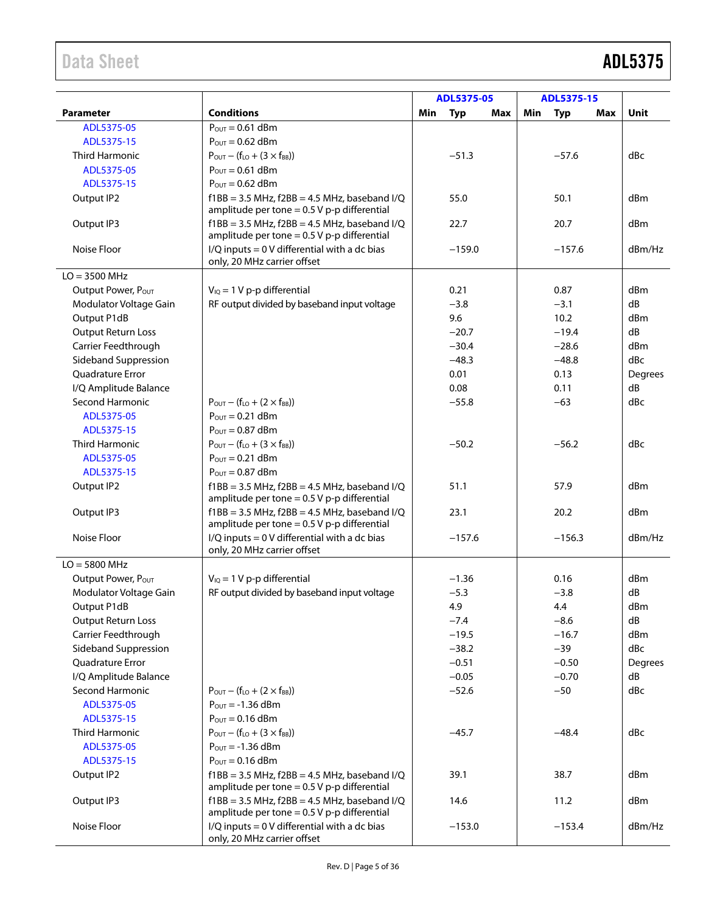|                           |                                                                                                     |     | ADL5375-05 |     |     | ADL5375-15 |     |         |
|---------------------------|-----------------------------------------------------------------------------------------------------|-----|------------|-----|-----|------------|-----|---------|
| <b>Parameter</b>          | <b>Conditions</b>                                                                                   | Min | <b>Typ</b> | Max | Min | <b>Typ</b> | Max | Unit    |
| ADL5375-05                | $P_{OUT} = 0.61$ dBm                                                                                |     |            |     |     |            |     |         |
| ADL5375-15                | $P_{\text{OUT}} = 0.62$ dBm                                                                         |     |            |     |     |            |     |         |
| <b>Third Harmonic</b>     | $P_{OUT} - (f_{LO} + (3 \times f_{BB}))$                                                            |     | $-51.3$    |     |     | $-57.6$    |     | dBc     |
| ADL5375-05                | $P_{OUT} = 0.61$ dBm                                                                                |     |            |     |     |            |     |         |
| ADL5375-15                | $P_{\text{OUT}} = 0.62$ dBm                                                                         |     |            |     |     |            |     |         |
| Output IP2                | $f1BB = 3.5 MHz$ , $f2BB = 4.5 MHz$ , baseband I/Q                                                  |     | 55.0       |     |     | 50.1       |     | dBm     |
|                           | amplitude per tone = $0.5$ V p-p differential                                                       |     |            |     |     |            |     |         |
| Output IP3                | $f1BB = 3.5 MHz$ , $f2BB = 4.5 MHz$ , baseband I/Q<br>amplitude per tone = $0.5$ V p-p differential |     | 22.7       |     |     | 20.7       |     | dBm     |
| Noise Floor               | I/Q inputs = 0 V differential with a dc bias<br>only, 20 MHz carrier offset                         |     | $-159.0$   |     |     | $-157.6$   |     | dBm/Hz  |
| $LO = 3500 MHz$           |                                                                                                     |     |            |     |     |            |     |         |
| Output Power, Pour        | $V_{IQ} = 1 V p-p$ differential                                                                     |     | 0.21       |     |     | 0.87       |     | dBm     |
| Modulator Voltage Gain    | RF output divided by baseband input voltage                                                         |     | $-3.8$     |     |     | $-3.1$     |     | dB      |
| Output P1dB               |                                                                                                     |     | 9.6        |     |     | 10.2       |     | dBm     |
| <b>Output Return Loss</b> |                                                                                                     |     | $-20.7$    |     |     | $-19.4$    |     | dB      |
| Carrier Feedthrough       |                                                                                                     |     | $-30.4$    |     |     | $-28.6$    |     | dBm     |
| Sideband Suppression      |                                                                                                     |     | $-48.3$    |     |     | $-48.8$    |     | dBc     |
| <b>Ouadrature Error</b>   |                                                                                                     |     | 0.01       |     |     | 0.13       |     | Degrees |
| I/Q Amplitude Balance     |                                                                                                     |     | 0.08       |     |     | 0.11       |     | dB      |
| <b>Second Harmonic</b>    | $P_{OUT} - (f_{LO} + (2 \times f_{BB}))$                                                            |     | $-55.8$    |     |     | $-63$      |     | dBc     |
| ADL5375-05                | $P_{\text{OUT}} = 0.21$ dBm                                                                         |     |            |     |     |            |     |         |
| ADL5375-15                | $P_{\text{OUT}} = 0.87$ dBm                                                                         |     |            |     |     |            |     |         |
| <b>Third Harmonic</b>     | $P_{OUT} - (f_{LO} + (3 \times f_{BB}))$                                                            |     | $-50.2$    |     |     | $-56.2$    |     | dBc     |
| ADL5375-05                | $P_{OUT} = 0.21$ dBm                                                                                |     |            |     |     |            |     |         |
| ADL5375-15                | $P_{OUT} = 0.87$ dBm                                                                                |     |            |     |     |            |     |         |
| Output IP2                | $f1BB = 3.5 MHz$ , $f2BB = 4.5 MHz$ , baseband I/Q                                                  |     | 51.1       |     |     | 57.9       |     | dBm     |
|                           | amplitude per tone = $0.5$ V p-p differential                                                       |     |            |     |     |            |     |         |
| Output IP3                | $f1BB = 3.5 MHz$ , $f2BB = 4.5 MHz$ , baseband I/Q<br>amplitude per tone = $0.5$ V p-p differential |     | 23.1       |     |     | 20.2       |     | dBm     |
| Noise Floor               | $I/Q$ inputs = 0 V differential with a dc bias<br>only, 20 MHz carrier offset                       |     | $-157.6$   |     |     | $-156.3$   |     | dBm/Hz  |
| $LO = 5800$ MHz           |                                                                                                     |     |            |     |     |            |     |         |
| Output Power, POUT        | $V_{IQ} = 1 V p-p$ differential                                                                     |     | $-1.36$    |     |     | 0.16       |     | dBm     |
| Modulator Voltage Gain    | RF output divided by baseband input voltage                                                         |     | $-5.3$     |     |     | $-3.8$     |     | dB      |
| Output P1dB               |                                                                                                     |     | 4.9        |     |     | 4.4        |     | dBm     |
| <b>Output Return Loss</b> |                                                                                                     |     | $-7.4$     |     |     | $-8.6$     |     | dB      |
| Carrier Feedthrough       |                                                                                                     |     | $-19.5$    |     |     | $-16.7$    |     | dBm     |
| Sideband Suppression      |                                                                                                     |     | $-38.2$    |     |     | $-39$      |     | dBc     |
| <b>Ouadrature Error</b>   |                                                                                                     |     | $-0.51$    |     |     | $-0.50$    |     | Degrees |
| I/Q Amplitude Balance     |                                                                                                     |     | $-0.05$    |     |     | $-0.70$    |     | dB      |
| Second Harmonic           | $P_{\text{OUT}} - (f_{\text{LO}} + (2 \times f_{\text{BB}}))$                                       |     | $-52.6$    |     |     | $-50$      |     | dBc     |
| ADL5375-05                | $P_{\text{OUT}} = -1.36$ dBm                                                                        |     |            |     |     |            |     |         |
| ADL5375-15                | $P_{\text{OUT}} = 0.16$ dBm                                                                         |     |            |     |     |            |     |         |
| Third Harmonic            | $P_{OUT} - (f_{LO} + (3 \times f_{BB}))$                                                            |     | $-45.7$    |     |     | $-48.4$    |     | dBc     |
| ADL5375-05                | $P_{\text{OUT}} = -1.36$ dBm                                                                        |     |            |     |     |            |     |         |
| ADL5375-15                | $P_{\text{OUT}} = 0.16$ dBm                                                                         |     |            |     |     |            |     |         |
| Output IP2                | $f1BB = 3.5 MHz$ , $f2BB = 4.5 MHz$ , baseband I/Q                                                  |     | 39.1       |     |     | 38.7       |     | dBm     |
|                           | amplitude per tone = $0.5$ V p-p differential                                                       |     |            |     |     |            |     |         |
| Output IP3                | $f1BB = 3.5 MHz$ , $f2BB = 4.5 MHz$ , baseband I/Q<br>amplitude per tone = $0.5$ V p-p differential |     | 14.6       |     |     | 11.2       |     | dBm     |
| Noise Floor               | I/Q inputs = 0 V differential with a dc bias<br>only, 20 MHz carrier offset                         |     | $-153.0$   |     |     | $-153.4$   |     | dBm/Hz  |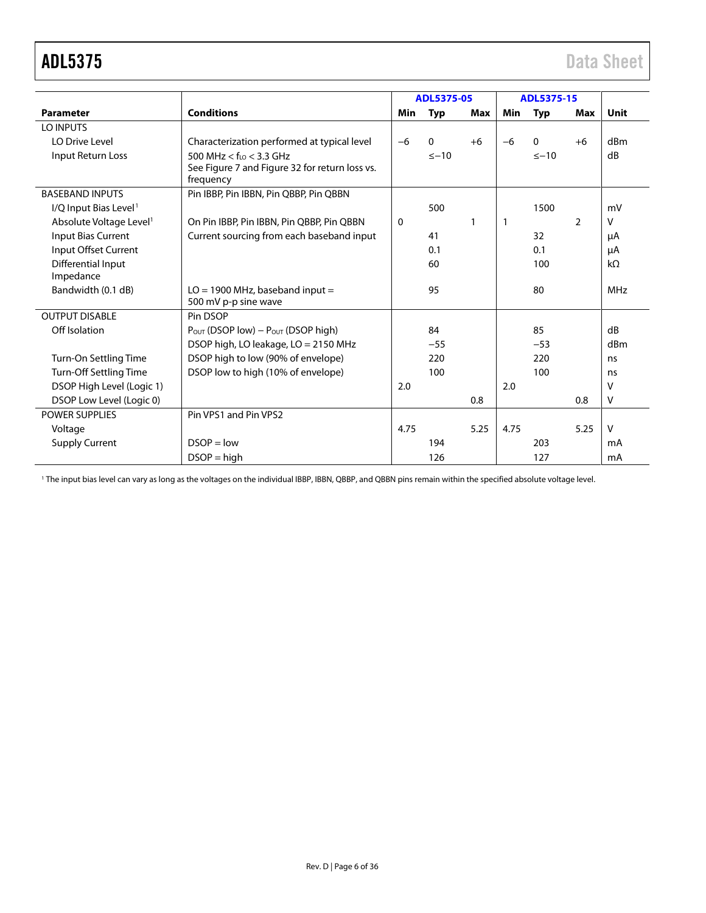|                                     |                                                             | ADL5375-05  |            |              | ADL5375-15 |            |                |             |
|-------------------------------------|-------------------------------------------------------------|-------------|------------|--------------|------------|------------|----------------|-------------|
| <b>Parameter</b>                    | <b>Conditions</b>                                           | Min         | <b>Typ</b> | Max          | Min        | <b>Typ</b> | Max            | <b>Unit</b> |
| LO INPUTS                           |                                                             |             |            |              |            |            |                |             |
| LO Drive Level                      | Characterization performed at typical level                 | $-6$        | $\Omega$   | $+6$         | $-6$       | $\Omega$   | $+6$           | dBm         |
| Input Return Loss                   | 500 MHz $<$ f <sub>10</sub> $<$ 3.3 GHz                     |             | $\leq -10$ |              |            | $\leq -10$ |                | dB          |
|                                     | See Figure 7 and Figure 32 for return loss vs.<br>frequency |             |            |              |            |            |                |             |
| <b>BASEBAND INPUTS</b>              | Pin IBBP, Pin IBBN, Pin QBBP, Pin QBBN                      |             |            |              |            |            |                |             |
| I/Q Input Bias Level <sup>1</sup>   |                                                             |             | 500        |              |            | 1500       |                | mV          |
| Absolute Voltage Level <sup>1</sup> | On Pin IBBP, Pin IBBN, Pin QBBP, Pin QBBN                   | $\mathbf 0$ |            | $\mathbf{1}$ | 1          |            | $\overline{2}$ | v           |
| <b>Input Bias Current</b>           | Current sourcing from each baseband input                   |             | 41         |              |            | 32         |                | μA          |
| Input Offset Current                |                                                             |             | 0.1        |              |            | 0.1        |                | μA          |
| Differential Input<br>Impedance     |                                                             |             | 60         |              |            | 100        |                | $k\Omega$   |
| Bandwidth (0.1 dB)                  | $LO = 1900$ MHz, baseband input =                           |             | 95         |              |            | 80         |                | MHz         |
|                                     | 500 mV p-p sine wave                                        |             |            |              |            |            |                |             |
| <b>OUTPUT DISABLE</b>               | Pin DSOP                                                    |             |            |              |            |            |                |             |
| Off Isolation                       | $P_{OUT}$ (DSOP low) – $P_{OUT}$ (DSOP high)                |             | 84         |              |            | 85         |                | dB          |
|                                     | DSOP high, LO leakage, LO = 2150 MHz                        |             | $-55$      |              |            | $-53$      |                | dBm         |
| Turn-On Settling Time               | DSOP high to low (90% of envelope)                          |             | 220        |              |            | 220        |                | ns          |
| Turn-Off Settling Time              | DSOP low to high (10% of envelope)                          |             | 100        |              |            | 100        |                | ns          |
| DSOP High Level (Logic 1)           |                                                             | 2.0         |            |              | 2.0        |            |                | v           |
| DSOP Low Level (Logic 0)            |                                                             |             |            | 0.8          |            |            | 0.8            | v           |
| <b>POWER SUPPLIES</b>               | Pin VPS1 and Pin VPS2                                       |             |            |              |            |            |                |             |
| Voltage                             |                                                             | 4.75        |            | 5.25         | 4.75       |            | 5.25           | V           |
| <b>Supply Current</b>               | $DSOP = low$                                                |             | 194        |              |            | 203        |                | mA          |
|                                     | $DSOP = high$                                               |             | 126        |              |            | 127        |                | mA          |

<sup>1</sup> The input bias level can vary as long as the voltages on the individual IBBP, IBBN, QBBP, and QBBN pins remain within the specified absolute voltage level.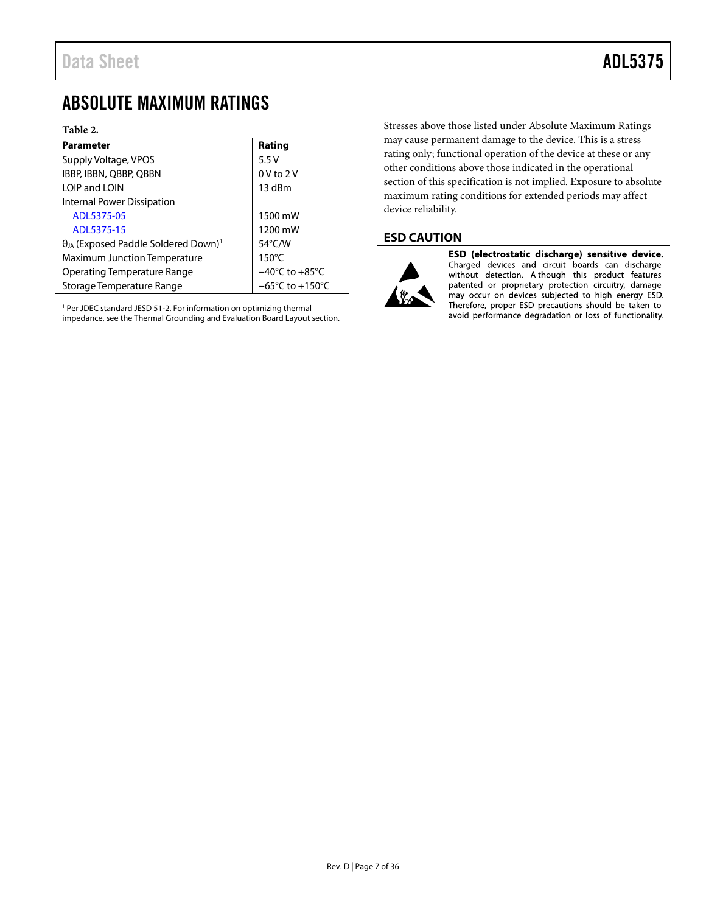## <span id="page-6-0"></span>ABSOLUTE MAXIMUM RATINGS

#### **Table 2.**

| <b>Parameter</b>                                          | Rating                               |  |  |  |  |
|-----------------------------------------------------------|--------------------------------------|--|--|--|--|
| Supply Voltage, VPOS                                      | 5.5V                                 |  |  |  |  |
| IBBP, IBBN, QBBP, QBBN                                    | $0V$ to $2V$                         |  |  |  |  |
| LOIP and LOIN                                             | 13 dBm                               |  |  |  |  |
| Internal Power Dissipation                                |                                      |  |  |  |  |
| ADL5375-05                                                | 1500 mW                              |  |  |  |  |
| ADL5375-15                                                | 1200 mW                              |  |  |  |  |
| $\theta_{JA}$ (Exposed Paddle Soldered Down) <sup>1</sup> | 54°C/W                               |  |  |  |  |
| <b>Maximum Junction Temperature</b>                       | $150^{\circ}$ C                      |  |  |  |  |
| Operating Temperature Range                               | $-40^{\circ}$ C to $+85^{\circ}$ C   |  |  |  |  |
| Storage Temperature Range                                 | $-65^{\circ}$ C to +150 $^{\circ}$ C |  |  |  |  |

<sup>1</sup> Per JDEC standard JESD 51-2. For information on optimizing thermal impedance, see th[e Thermal Grounding and Evaluation Board Layout](#page-31-0) section.

Stresses above those listed under Absolute Maximum Ratings may cause permanent damage to the device. This is a stress rating only; functional operation of the device at these or any other conditions above those indicated in the operational section of this specification is not implied. Exposure to absolute maximum rating conditions for extended periods may affect device reliability.

### <span id="page-6-1"></span>**ESD CAUTION**



ESD (electrostatic discharge) sensitive device. Charged devices and circuit boards can discharge without detection. Although this product features patented or proprietary protection circuitry, damage may occur on devices subjected to high energy ESD. Therefore, proper ESD precautions should be taken to avoid performance degradation or loss of functionality.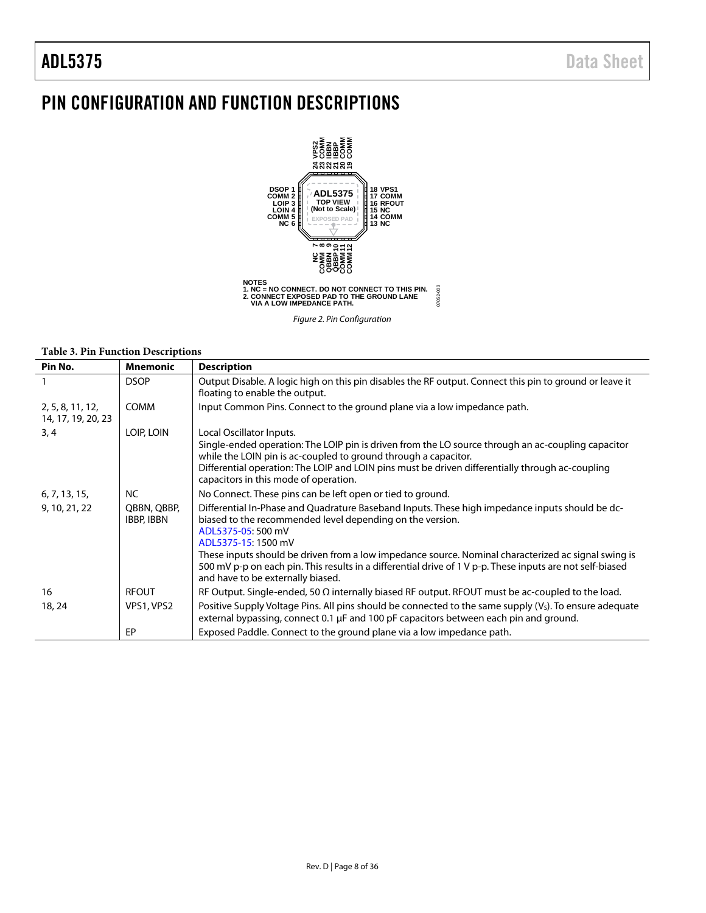## <span id="page-7-0"></span>PIN CONFIGURATION AND FUNCTION DESCRIPTIONS



*Figure 2. Pin Configuration*

#### **Table 3. Pin Function Descriptions**

| Pin No.                                | <b>Mnemonic</b>                  | <b>Description</b>                                                                                                                                                                                                                                                                                                                             |
|----------------------------------------|----------------------------------|------------------------------------------------------------------------------------------------------------------------------------------------------------------------------------------------------------------------------------------------------------------------------------------------------------------------------------------------|
|                                        | <b>DSOP</b>                      | Output Disable. A logic high on this pin disables the RF output. Connect this pin to ground or leave it<br>floating to enable the output.                                                                                                                                                                                                      |
| 2, 5, 8, 11, 12,<br>14, 17, 19, 20, 23 | <b>COMM</b>                      | Input Common Pins. Connect to the ground plane via a low impedance path.                                                                                                                                                                                                                                                                       |
| 3, 4                                   | LOIP, LOIN                       | Local Oscillator Inputs.<br>Single-ended operation: The LOIP pin is driven from the LO source through an ac-coupling capacitor<br>while the LOIN pin is ac-coupled to ground through a capacitor.<br>Differential operation: The LOIP and LOIN pins must be driven differentially through ac-coupling<br>capacitors in this mode of operation. |
| 6, 7, 13, 15,                          | <b>NC</b>                        | No Connect. These pins can be left open or tied to ground.                                                                                                                                                                                                                                                                                     |
| 9, 10, 21, 22                          | QBBN, QBBP,<br><b>IBBP, IBBN</b> | Differential In-Phase and Quadrature Baseband Inputs. These high impedance inputs should be dc-<br>biased to the recommended level depending on the version.<br>ADL5375-05: 500 mV<br>ADL5375-15: 1500 mV<br>These inputs should be driven from a low impedance source. Nominal characterized ac signal swing is                               |
|                                        |                                  | 500 mV p-p on each pin. This results in a differential drive of 1 V p-p. These inputs are not self-biased<br>and have to be externally biased.                                                                                                                                                                                                 |
| 16                                     | <b>RFOUT</b>                     | RF Output. Single-ended, 50 $\Omega$ internally biased RF output. RFOUT must be ac-coupled to the load.                                                                                                                                                                                                                                        |
| 18, 24                                 | VPS1, VPS2                       | Positive Supply Voltage Pins. All pins should be connected to the same supply (V <sub>S</sub> ). To ensure adequate<br>external bypassing, connect 0.1 $\mu$ F and 100 pF capacitors between each pin and ground.                                                                                                                              |
|                                        | EP                               | Exposed Paddle. Connect to the ground plane via a low impedance path.                                                                                                                                                                                                                                                                          |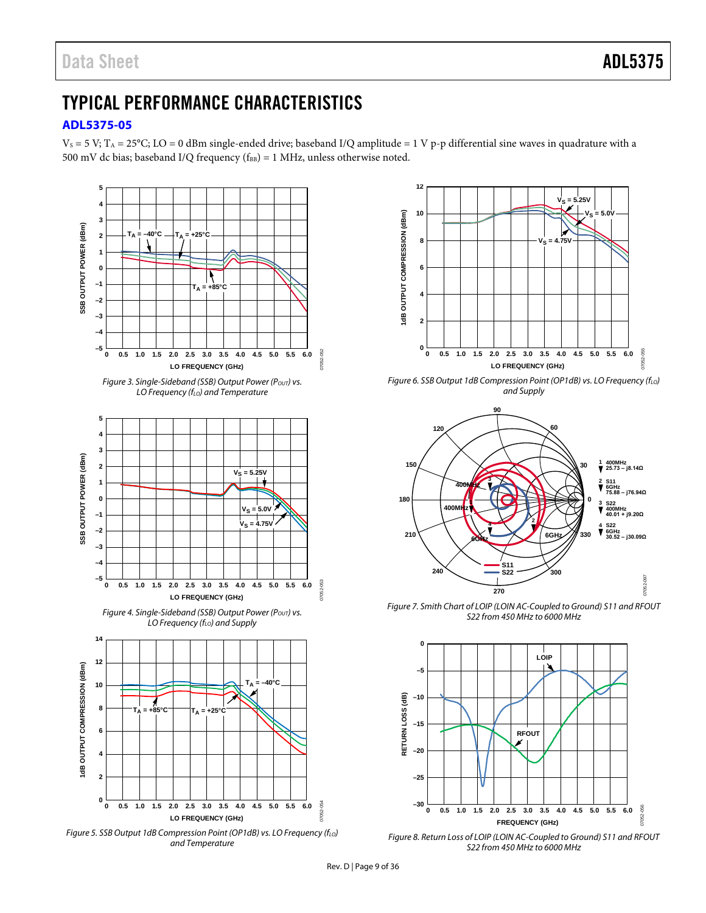## <span id="page-8-0"></span>TYPICAL PERFORMANCE CHARACTERISTICS

### <span id="page-8-1"></span>**[ADL5375-05](http://www.analog.com/ADL5375?doc=ADL5375.pdf)**

 $V_S = 5 V$ ; T<sub>A</sub> = 25°C; LO = 0 dBm single-ended drive; baseband I/Q amplitude = 1 V p-p differential sine waves in quadrature with a 500 mV dc bias; baseband I/Q frequency ( $f_{BB}$ ) = 1 MHz, unless otherwise noted.







*Figure 6. SSB Output 1dB Compression Point (OP1dB) vs. LO Frequency (f<sub>LO</sub>) and Supply*



<span id="page-8-2"></span>*Figure 7. Smith Chart of LOIP (LOIN AC-Coupled to Ground) S11 and RFOUT S22 from 450 MHz to 6000 MHz*



*Figure 8. Return Loss of LOIP (LOIN AC-Coupled to Ground) S11 and RFOUT S22 from 450 MHz to 6000 MHz*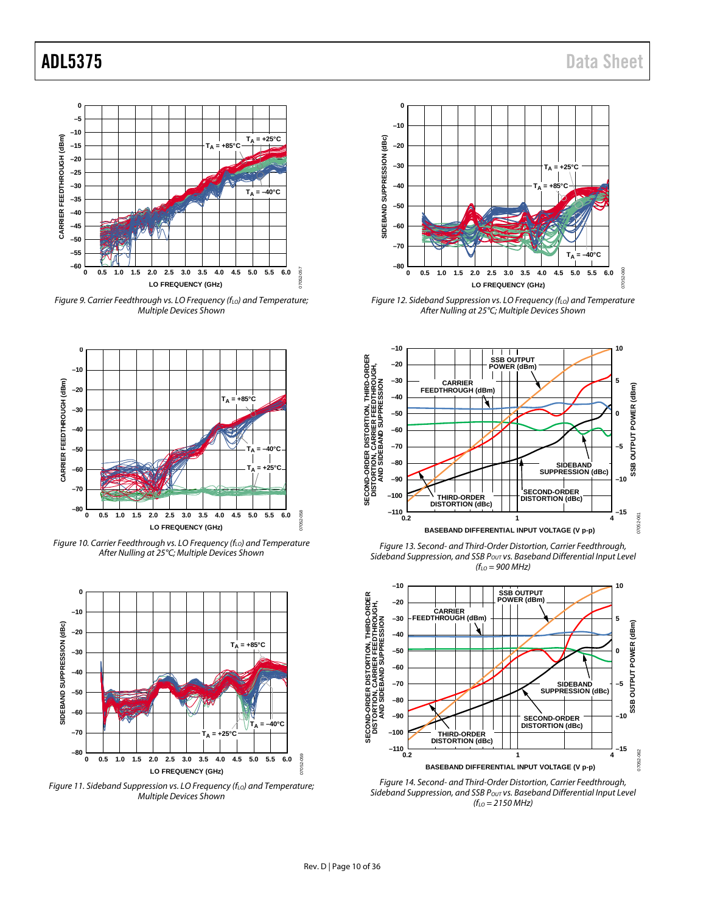

*Figure 9. Carrier Feedthrough vs. LO Frequency (f<sub>LO</sub>) and Temperature; Multiple Devices Shown*



*Figure 10. Carrier Feedthrough vs. LO Frequency (f<sub>LO</sub>) and Temperature After Nulling at 25°C; Multiple Devices Shown*



*Figure 11. Sideband Suppression vs. LO Frequency (f<sub>LO</sub>) and Temperature; Multiple Devices Shown*



*Figure 12. Sideband Suppression vs. LO Frequency (f<sub>LO</sub>) and Temperature After Nulling at 25°C; Multiple Devices Shown*



*Figure 13. Second- and Third-Order Distortion, Carrier Feedthrough, Sideband Suppression, and SSB POUT vs. Baseband Differential Input Level (fLO = 900 MHz)*



*Figure 14. Second- and Third-Order Distortion, Carrier Feedthrough,*  Sideband Suppression, and SSB P<sub>OUT</sub> vs. Baseband Differential Input Level *(fLO = 2150 MHz)*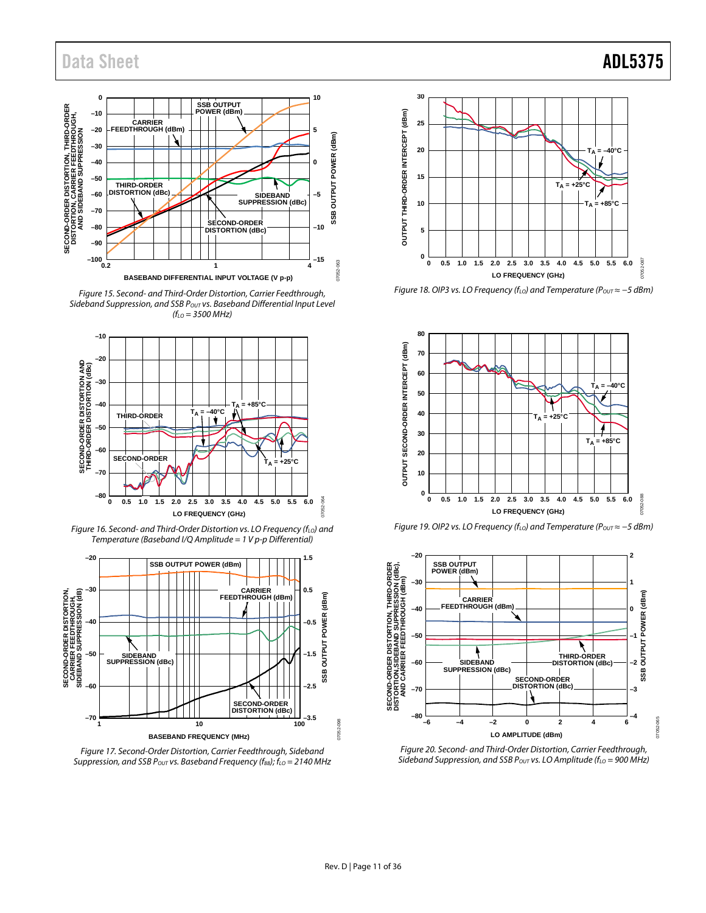

*Figure 15. Second- and Third-Order Distortion, Carrier Feedthrough, Sideband Suppression, and SSB POUT vs. Baseband Differential Input Level (fLO = 3500 MHz)* 



*Figure 16. Second- and Third-Order Distortion vs. LO Frequency (f<sub>LO</sub>) and Temperature (Baseband I/Q Amplitude = 1 V p-p Differential)*







*Figure 18. OIP3 vs. LO Frequency (f<sub>LO</sub>) and Temperature (P<sub>OUT</sub> ≈ -5 dBm)* 







*Figure 20. Second- and Third-Order Distortion, Carrier Feedthrough,*  Sideband Suppression, and SSB P<sub>OUT</sub> vs. LO Amplitude (f<sub>LO</sub> = 900 MHz)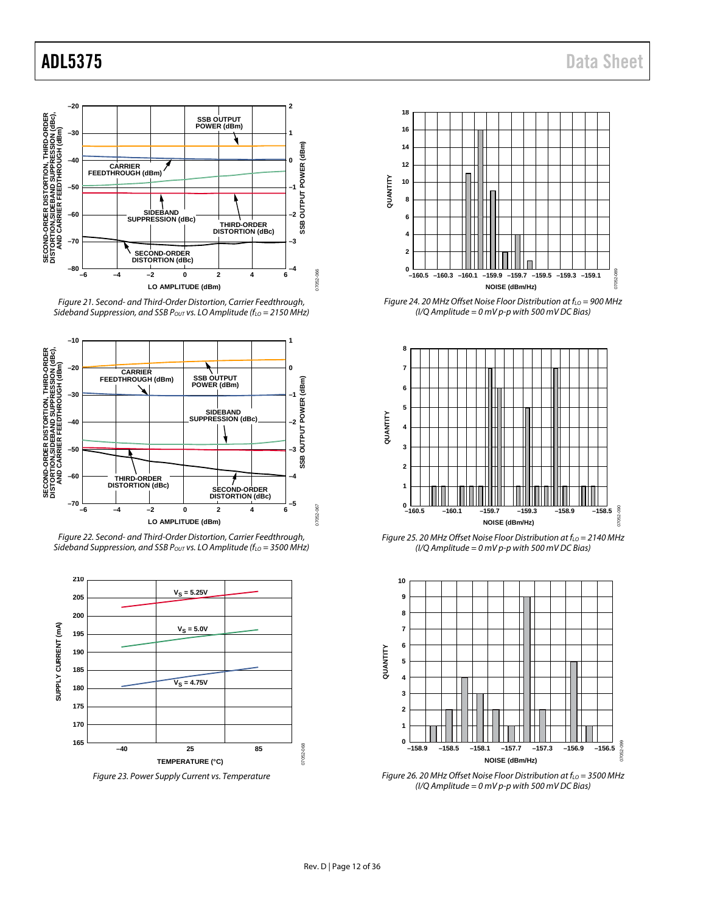

*Figure 21. Second- and Third-Order Distortion, Carrier Feedthrough, Sideband Suppression, and SSB P<sub>OUT</sub> vs. LO Amplitude (f<sub>LO</sub> = 2150 MHz)* 



*Figure 22. Second- and Third-Order Distortion, Carrier Feedthrough, Sideband Suppression, and SSB P<sub>OUT</sub> vs. LO Amplitude (f<sub>LO</sub> = 3500 MHz)* 



*Figure 23. Power Supply Current vs. Temperature*



*Figure 24. 20 MHz Offset Noise Floor Distribution at f<sub>LO</sub> = 900 MHz (I/Q Amplitude = 0 mV p-p with 500 mV DC Bias)*



*Figure 25. 20 MHz Offset Noise Floor Distribution at f<sub>LO</sub> = 2140 MHz (I/Q Amplitude = 0 mV p-p with 500 mV DC Bias)*



*Figure 26. 20 MHz Offset Noise Floor Distribution at f<sub>LO</sub> = 3500 MHz (I/Q Amplitude = 0 mV p-p with 500 mV DC Bias)*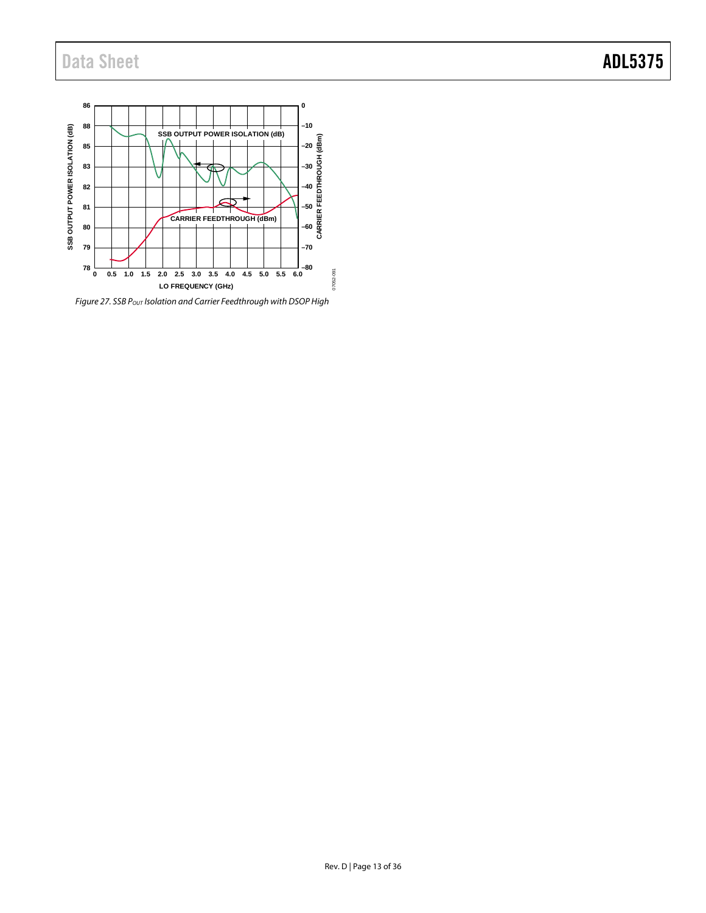

<span id="page-12-0"></span>*Figure 27. SSB POUT Isolation and Carrier Feedthrough with DSOP High*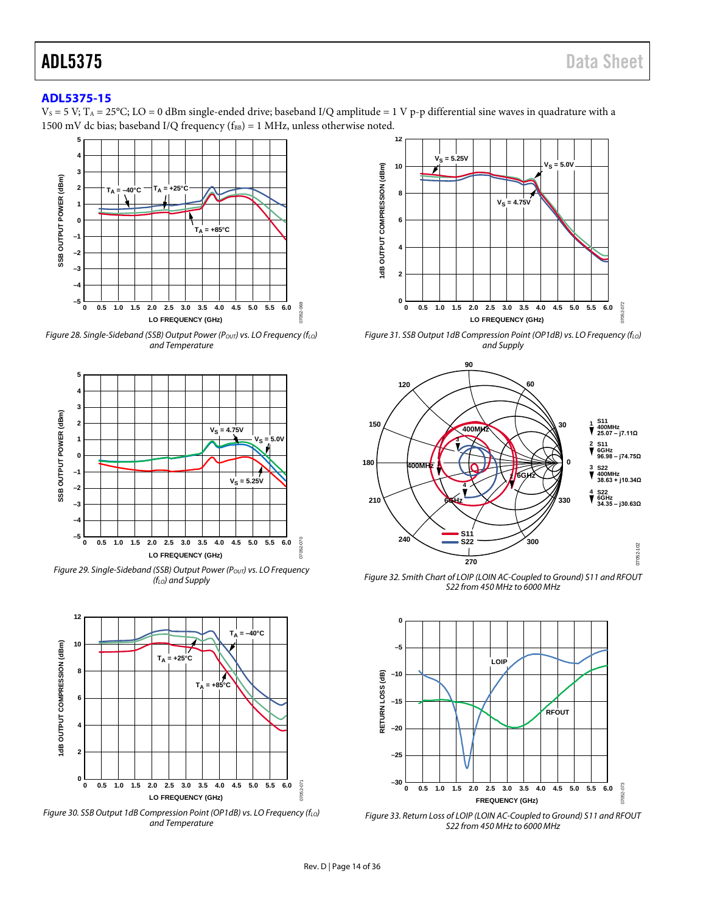### <span id="page-13-0"></span>**[ADL5375-15](http://www.analog.com/ADL5375?doc=ADL5375.pdf)**

 $V_s = 5 V$ ; T<sub>A</sub> = 25°C; LO = 0 dBm single-ended drive; baseband I/Q amplitude = 1 V p-p differential sine waves in quadrature with a 1500 mV dc bias; baseband I/Q frequency ( $f_{BB}$ ) = 1 MHz, unless otherwise noted.



*Figure 28. Single-Sideband (SSB) Output Power (Pout) vs. LO Frequency (f<sub>LO</sub>) and Temperature*



*Figure 29. Single-Sideband (SSB) Output Power (P<sub>OUT</sub>) vs. LO Frequency (fLO) and Supply*



*Figure 30. SSB Output 1dB Compression Point (OP1dB) vs. LO Frequency (f<sub>LO</sub>) and Temperature*



*Figure 31. SSB Output 1dB Compression Point (OP1dB) vs. LO Frequency (f<sub>LO</sub>) and Supply*



<span id="page-13-1"></span>*Figure 32. Smith Chart of LOIP (LOIN AC-Coupled to Ground) S11 and RFOUT S22 from 450 MHz to 6000 MHz*



*Figure 33. Return Loss of LOIP (LOIN AC-Coupled to Ground) S11 and RFOUT S22 from 450 MHz to 6000 MHz*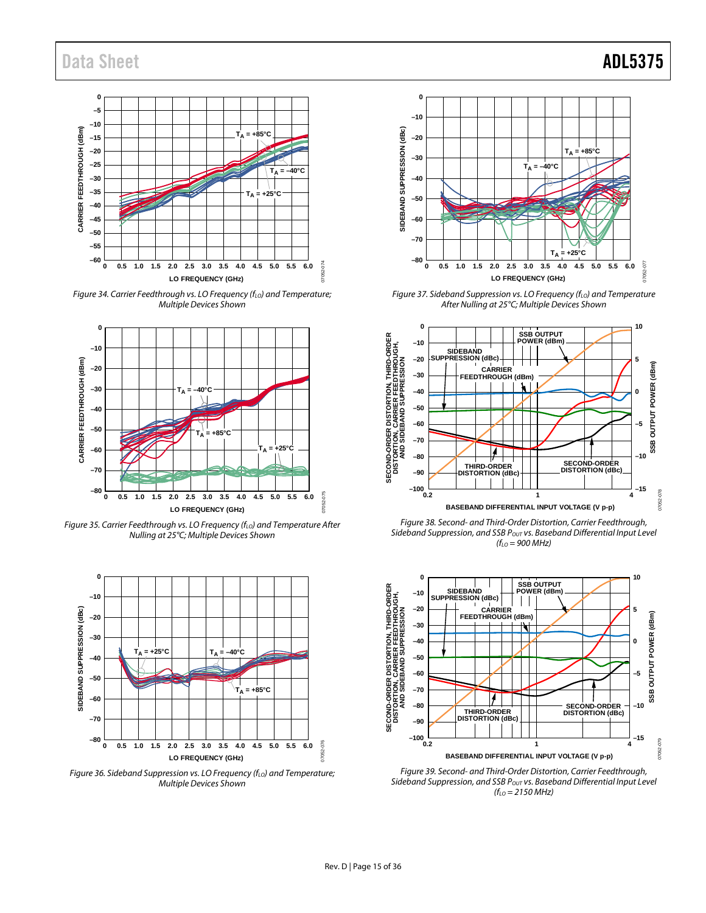

*Figure 34. Carrier Feedthrough vs. LO Frequency (f<sub>LO</sub>) and Temperature; Multiple Devices Shown*



*Figure 35. Carrier Feedthrough vs. LO Frequency (f<sub>LO</sub>) and Temperature After Nulling at 25°C; Multiple Devices Shown*



*Figure 36. Sideband Suppression vs. LO Frequency (fLO) and Temperature; Multiple Devices Shown*



*Figure 37. Sideband Suppression vs. LO Frequency (f<sub>LO</sub>) and Temperature After Nulling at 25°C; Multiple Devices Shown*



*Figure 38. Second- and Third-Order Distortion, Carrier Feedthrough,*  Sideband Suppression, and SSB P<sub>OUT</sub> vs. Baseband Differential Input Level *(fLO = 900 MHz)*



*Figure 39. Second- and Third-Order Distortion, Carrier Feedthrough,*  Sideband Suppression, and SSB P<sub>OUT</sub> vs. Baseband Differential Input Level *(fLO = 2150 MHz)*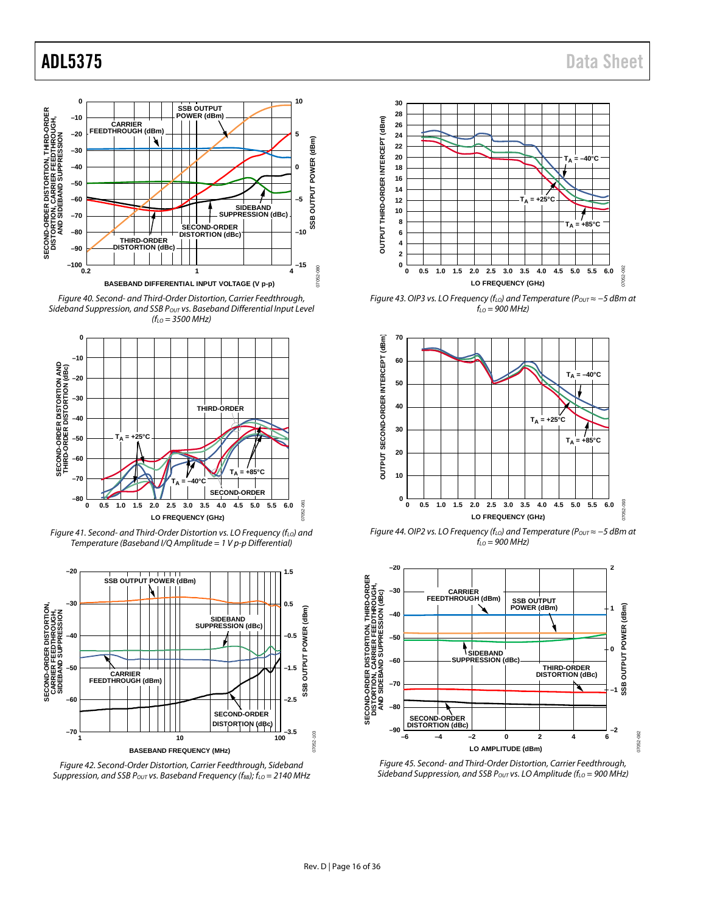

*Figure 40. Second- and Third-Order Distortion, Carrier Feedthrough, Sideband Suppression, and SSB POUT vs. Baseband Differential Input Level (fLO = 3500 MHz)*



*Figure 41. Second- and Third-Order Distortion vs. LO Frequency (f<sub>LO</sub>) and Temperature (Baseband I/Q Amplitude = 1 V p-p Differential)*



*Figure 42. Second-Order Distortion, Carrier Feedthrough, Sideband Suppression, and SSB P<sub>OUT</sub> vs. Baseband Frequency (f<sub>BB</sub>); f<sub>LO</sub> = 2140 MHz* 

## ADL5375 Data Sheet



*Figure 43. OIP3 vs. LO Frequency (f<sub>LO</sub>) and Temperature (P<sub>OUT</sub> ≈ -5 dBm at fLO = 900 MHz)*



*Figure 44. OIP2 vs. LO Frequency (f<sub>LO</sub>) and Temperature (P<sub>OUT</sub> ≈ -5 dBm at fLO = 900 MHz)*



*Figure 45. Second- and Third-Order Distortion, Carrier Feedthrough, Sideband Suppression, and SSB P<sub>OUT</sub> vs. LO Amplitude (f<sub>LO</sub> = 900 MHz)*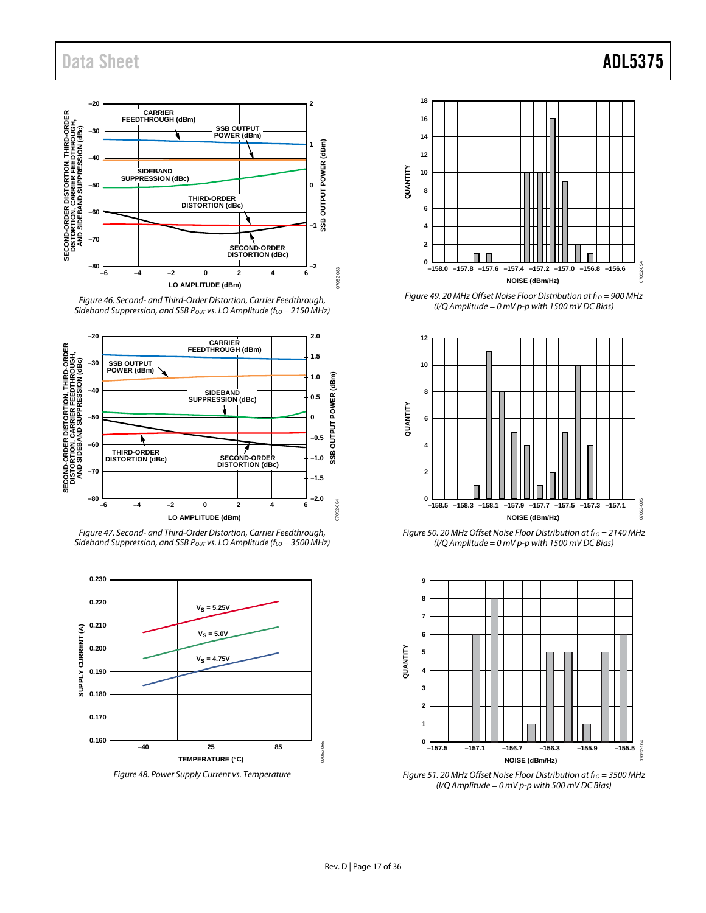

*Figure 46. Second- and Third-Order Distortion, Carrier Feedthrough, Sideband Suppression, and SSB P<sub>OUT</sub> vs. LO Amplitude (f<sub>LO</sub> = 2150 MHz)* 



*Figure 47. Second- and Third-Order Distortion, Carrier Feedthrough,*  Sideband Suppression, and SSB P<sub>OUT</sub> vs. LO Amplitude (f<sub>LO</sub> = 3500 MHz)



*Figure 48. Power Supply Current vs. Temperature*



*Figure 49. 20 MHz Offset Noise Floor Distribution at f<sub>LO</sub> = 900 MHz (I/Q Amplitude = 0 mV p-p with 1500 mV DC Bias)*



*Figure 50. 20 MHz Offset Noise Floor Distribution at f<sub>LO</sub> = 2140 MHz (I/Q Amplitude = 0 mV p-p with 1500 mV DC Bias)*



*Figure 51. 20 MHz Offset Noise Floor Distribution at f<sub>LO</sub> = 3500 MHz (I/Q Amplitude = 0 mV p-p with 500 mV DC Bias)*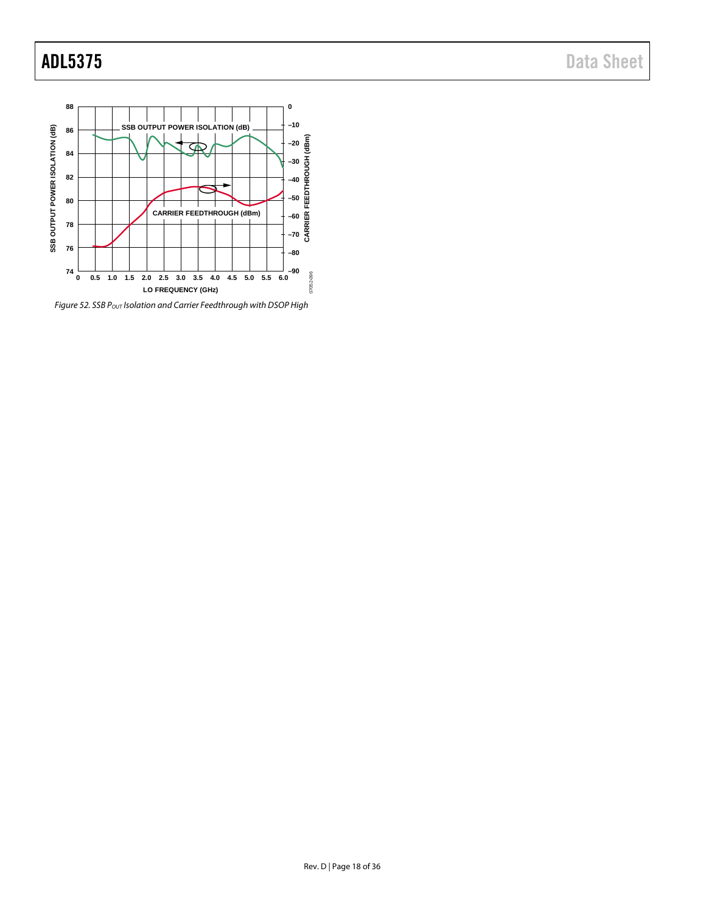

<span id="page-17-0"></span>*Figure 52. SSB POUT Isolation and Carrier Feedthrough with DSOP High*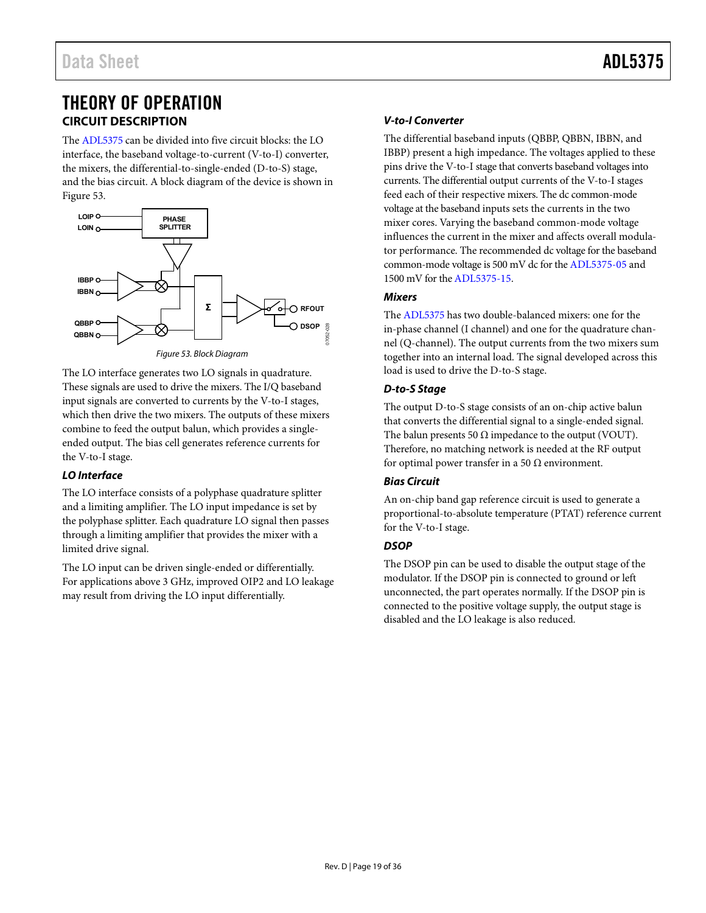## <span id="page-18-0"></span>THEORY OF OPERATION **CIRCUIT DESCRIPTION**

<span id="page-18-1"></span>The [ADL5375 c](http://www.analog.com/ADL5375?doc=ADL5375.pdf)an be divided into five circuit blocks: the LO interface, the baseband voltage-to-current (V-to-I) converter, the mixers, the differential-to-single-ended (D-to-S) stage, and the bias circuit. A block diagram of the device is shown in [Figure 53.](#page-18-2) 



<span id="page-18-2"></span>The LO interface generates two LO signals in quadrature. These signals are used to drive the mixers. The I/Q baseband input signals are converted to currents by the V-to-I stages, which then drive the two mixers. The outputs of these mixers combine to feed the output balun, which provides a singleended output. The bias cell generates reference currents for the V-to-I stage.

### **LO Interface**

The LO interface consists of a polyphase quadrature splitter and a limiting amplifier. The LO input impedance is set by the polyphase splitter. Each quadrature LO signal then passes through a limiting amplifier that provides the mixer with a limited drive signal.

The LO input can be driven single-ended or differentially. For applications above 3 GHz, improved OIP2 and LO leakage may result from driving the LO input differentially.

### **V-to-I Converter**

The differential baseband inputs (QBBP, QBBN, IBBN, and IBBP) present a high impedance. The voltages applied to these pins drive the V-to-I stage that converts baseband voltages into currents. The differential output currents of the V-to-I stages feed each of their respective mixers. The dc common-mode voltage at the baseband inputs sets the currents in the two mixer cores. Varying the baseband common-mode voltage influences the current in the mixer and affects overall modulator performance. The recommended dc voltage for the baseband common-mode voltage is 500 mV dc for th[e ADL5375-05 a](http://www.analog.com/ADL5375?doc=ADL5375.pdf)nd 1500 mV for th[e ADL5375-15.](http://www.analog.com/ADL5375?doc=ADL5375.pdf) 

### **Mixers**

The [ADL5375 h](http://www.analog.com/ADL5375?doc=ADL5375.pdf)as two double-balanced mixers: one for the in-phase channel (I channel) and one for the quadrature channel (Q-channel). The output currents from the two mixers sum together into an internal load. The signal developed across this load is used to drive the D-to-S stage.

### **D-to-S Stage**

The output D-to-S stage consists of an on-chip active balun that converts the differential signal to a single-ended signal. The balun presents 50  $\Omega$  impedance to the output (VOUT). Therefore, no matching network is needed at the RF output for optimal power transfer in a 50  $\Omega$  environment.

### **Bias Circuit**

An on-chip band gap reference circuit is used to generate a proportional-to-absolute temperature (PTAT) reference current for the V-to-I stage.

### **DSOP**

The DSOP pin can be used to disable the output stage of the modulator. If the DSOP pin is connected to ground or left unconnected, the part operates normally. If the DSOP pin is connected to the positive voltage supply, the output stage is disabled and the LO leakage is also reduced.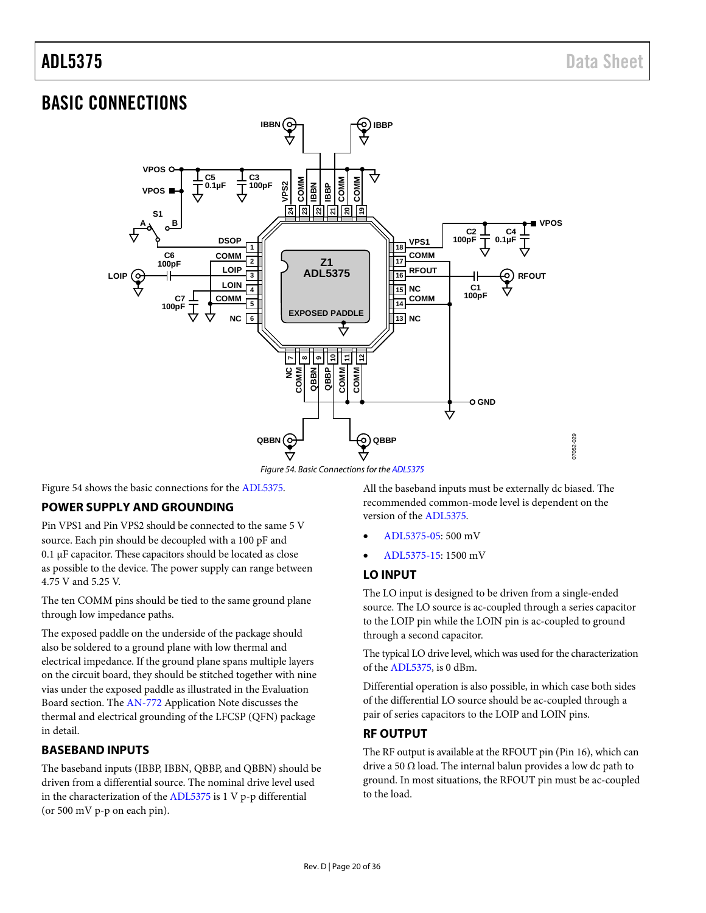## <span id="page-19-0"></span>BASIC CONNECTIONS



Figure 54. Basic Connections for th[e ADL5375](http://www.analog.com/ADL5375?doc=ADL5375.pdf) 

<span id="page-19-5"></span>[Figure 54 s](#page-19-5)hows the basic connections for the [ADL5375.](http://www.analog.com/ADL5375?doc=ADL5375.pdf) 

### <span id="page-19-1"></span>**POWER SUPPLY AND GROUNDING**

Pin VPS1 and Pin VPS2 should be connected to the same 5 V source. Each pin should be decoupled with a 100 pF and 0.1 μF capacitor. These capacitors should be located as close as possible to the device. The power supply can range between 4.75 V and 5.25 V.

The ten COMM pins should be tied to the same ground plane through low impedance paths.

The exposed paddle on the underside of the package should also be soldered to a ground plane with low thermal and electrical impedance. If the ground plane spans multiple layers on the circuit board, they should be stitched together with nine vias under the exposed paddle as illustrated in th[e Evaluation](#page-29-0)  [Board](#page-29-0) section. The [AN-772 A](http://www.analog.com/AN-772?doc=ADL5375.pdf)pplication Note discusses the thermal and electrical grounding of the LFCSP (QFN) package in detail.

### <span id="page-19-2"></span>**BASEBAND INPUTS**

The baseband inputs (IBBP, IBBN, QBBP, and QBBN) should be driven from a differential source. The nominal drive level used in the characterization of th[e ADL5375 i](http://www.analog.com/ADL5375?doc=ADL5375.pdf)s 1 V p-p differential (or 500 mV p-p on each pin).

All the baseband inputs must be externally dc biased. The recommended common-mode level is dependent on the version of the [ADL5375.](http://www.analog.com/ADL5375?doc=ADL5375.pdf)

07052-029

- [ADL5375-05:](http://www.analog.com/ADL5375?doc=ADL5375.pdf) 500 mV
- [ADL5375-15:](http://www.analog.com/ADL5375?doc=ADL5375.pdf) 1500 mV

### <span id="page-19-3"></span>**LO INPUT**

The LO input is designed to be driven from a single-ended source. The LO source is ac-coupled through a series capacitor to the LOIP pin while the LOIN pin is ac-coupled to ground through a second capacitor.

The typical LO drive level, which was used for the characterization of the [ADL5375,](http://www.analog.com/ADL5375?doc=ADL5375.pdf) is 0 dBm.

Differential operation is also possible, in which case both sides of the differential LO source should be ac-coupled through a pair of series capacitors to the LOIP and LOIN pins.

### <span id="page-19-4"></span>**RF OUTPUT**

The RF output is available at the RFOUT pin (Pin 16), which can drive a 50  $\Omega$  load. The internal balun provides a low dc path to ground. In most situations, the RFOUT pin must be ac-coupled to the load.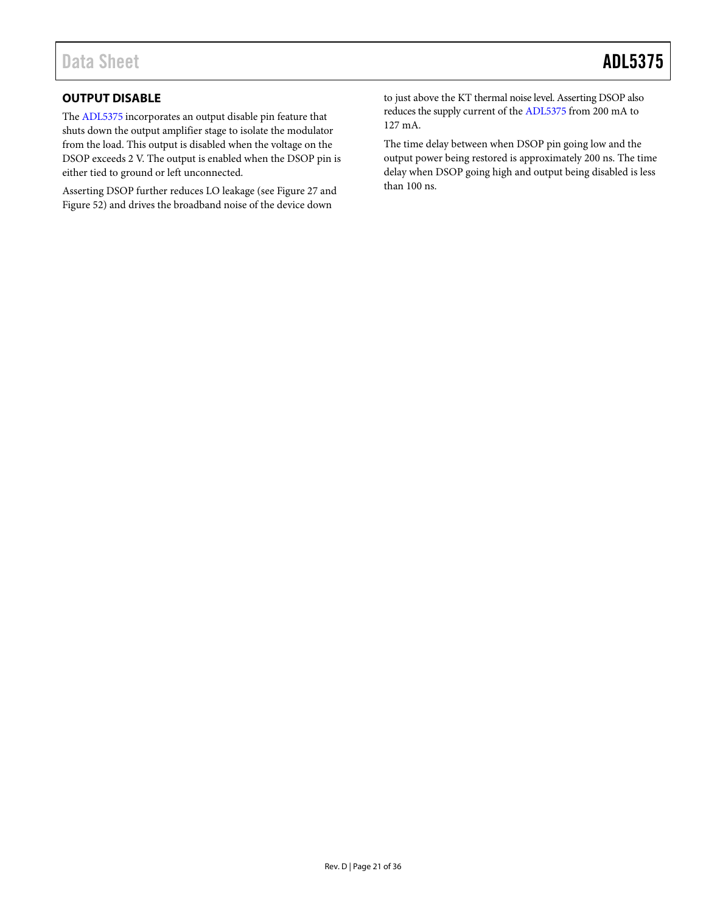### <span id="page-20-0"></span>**OUTPUT DISABLE**

The [ADL5375](http://www.analog.com/ADL5375?doc=ADL5375.pdf) incorporates an output disable pin feature that shuts down the output amplifier stage to isolate the modulator from the load. This output is disabled when the voltage on the DSOP exceeds 2 V. The output is enabled when the DSOP pin is either tied to ground or left unconnected.

Asserting DSOP further reduces LO leakage (see [Figure 27](#page-12-0) and [Figure 52\)](#page-17-0) and drives the broadband noise of the device down

to just above the KT thermal noise level. Asserting DSOP also reduces the supply current of the [ADL5375](http://www.analog.com/ADL5375?doc=ADL5375.pdf) from 200 mA to 127 mA.

The time delay between when DSOP pin going low and the output power being restored is approximately 200 ns. The time delay when DSOP going high and output being disabled is less than 100 ns.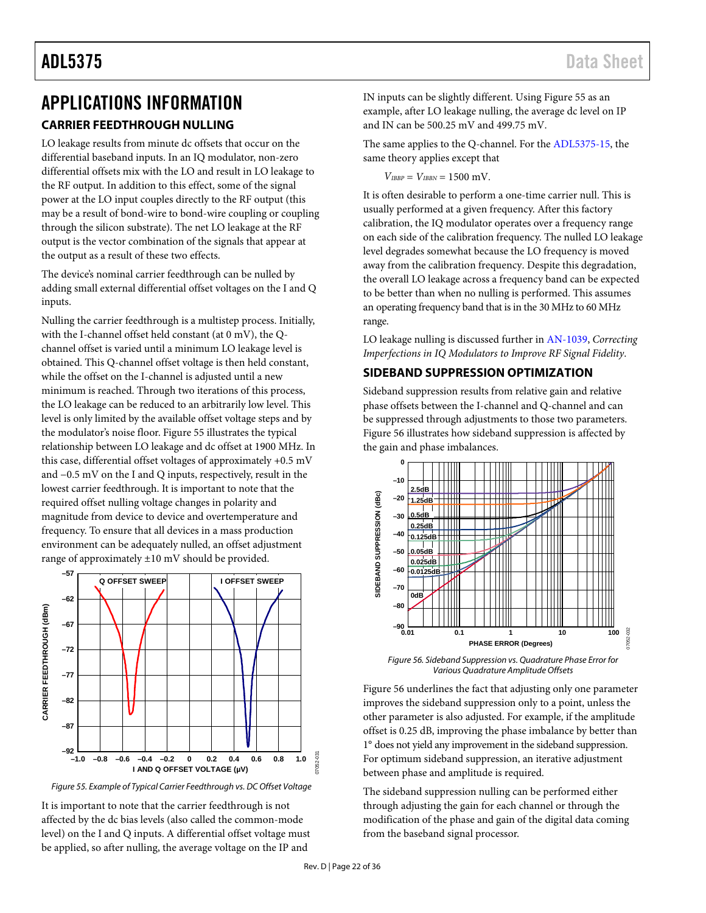## <span id="page-21-1"></span><span id="page-21-0"></span>APPLICATIONS INFORMATION **CARRIER FEEDTHROUGH NULLING**

LO leakage results from minute dc offsets that occur on the differential baseband inputs. In an IQ modulator, non-zero differential offsets mix with the LO and result in LO leakage to the RF output. In addition to this effect, some of the signal power at the LO input couples directly to the RF output (this may be a result of bond-wire to bond-wire coupling or coupling through the silicon substrate). The net LO leakage at the RF output is the vector combination of the signals that appear at the output as a result of these two effects.

The device's nominal carrier feedthrough can be nulled by adding small external differential offset voltages on the I and Q inputs.

Nulling the carrier feedthrough is a multistep process. Initially, with the I-channel offset held constant (at 0 mV), the Qchannel offset is varied until a minimum LO leakage level is obtained. This Q-channel offset voltage is then held constant, while the offset on the I-channel is adjusted until a new minimum is reached. Through two iterations of this process, the LO leakage can be reduced to an arbitrarily low level. This level is only limited by the available offset voltage steps and by the modulator's noise floor[. Figure 55](#page-21-3) illustrates the typical relationship between LO leakage and dc offset at 1900 MHz. In this case, differential offset voltages of approximately +0.5 mV and −0.5 mV on the I and Q inputs, respectively, result in the lowest carrier feedthrough. It is important to note that the required offset nulling voltage changes in polarity and magnitude from device to device and overtemperature and frequency. To ensure that all devices in a mass production environment can be adequately nulled, an offset adjustment range of approximately ±10 mV should be provided.



<span id="page-21-3"></span>*Figure 55. Example of Typical Carrier Feedthrough vs. DC Offset Voltage*

It is important to note that the carrier feedthrough is not affected by the dc bias levels (also called the common-mode level) on the I and Q inputs. A differential offset voltage must be applied, so after nulling, the average voltage on the IP and

IN inputs can be slightly different. Using [Figure 55](#page-21-3) as an example, after LO leakage nulling, the average dc level on IP and IN can be 500.25 mV and 499.75 mV.

The same applies to the Q-channel. For the [ADL5375-15,](http://www.analog.com/ADL5375?doc=ADL5375.pdf) the same theory applies except that

 $V_{IBBP} = V_{IBBN} = 1500$  mV.

It is often desirable to perform a one-time carrier null. This is usually performed at a given frequency. After this factory calibration, the IQ modulator operates over a frequency range on each side of the calibration frequency. The nulled LO leakage level degrades somewhat because the LO frequency is moved away from the calibration frequency. Despite this degradation, the overall LO leakage across a frequency band can be expected to be better than when no nulling is performed. This assumes an operating frequency band that is in the 30 MHz to 60 MHz range.

LO leakage nulling is discussed further i[n AN-1039,](http://www.analog.com/AN-1039?doc=AD5375.pdf) *Correcting Imperfections in IQ Modulators to Improve RF Signal Fidelity*.

### <span id="page-21-2"></span>**SIDEBAND SUPPRESSION OPTIMIZATION**

Sideband suppression results from relative gain and relative phase offsets between the I-channel and Q-channel and can be suppressed through adjustments to those two parameters. [Figure 56](#page-21-4) illustrates how sideband suppression is affected by the gain and phase imbalances.



<span id="page-21-4"></span>*Figure 56. Sideband Suppression vs. Quadrature Phase Error for Various Quadrature Amplitude Offsets*

[Figure 56](#page-21-4) underlines the fact that adjusting only one parameter improves the sideband suppression only to a point, unless the other parameter is also adjusted. For example, if the amplitude offset is 0.25 dB, improving the phase imbalance by better than 1° does not yield any improvement in the sideband suppression. For optimum sideband suppression, an iterative adjustment between phase and amplitude is required.

The sideband suppression nulling can be performed either through adjusting the gain for each channel or through the modification of the phase and gain of the digital data coming from the baseband signal processor.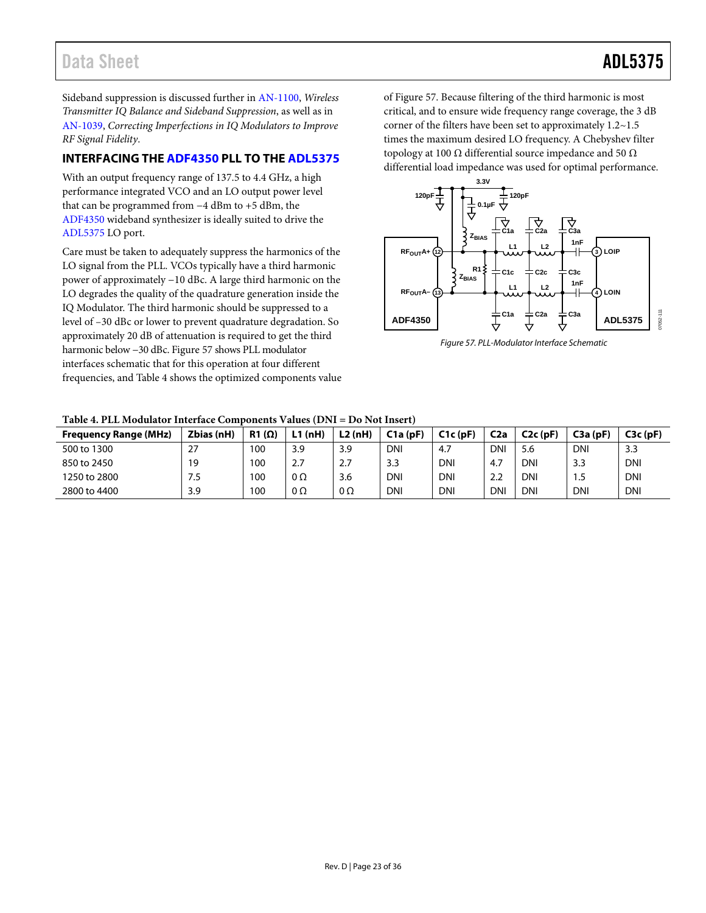Sideband suppression is discussed further in [AN-1100,](http://www.analog.com/AN-1100?doc=ADL5375.pdf) *Wireless Transmitter IQ Balance and Sideband Suppression*, as well as in [AN-1039,](http://www.analog.com/AN-1039?doc=ADL5375.pdf) *Correcting Imperfections in IQ Modulators to Improve RF Signal Fidelity*.

### <span id="page-22-0"></span>**INTERFACING THE [ADF4350](http://www.analog.com/ADF4350?doc=ADL5375.pdf) PLL TO THE [ADL5375](http://www.analog.com/ADL5375?doc=ADL5375.pdf)**

With an output frequency range of 137.5 to 4.4 GHz, a high performance integrated VCO and an LO output power level that can be programmed from −4 dBm to +5 dBm, the [ADF4350](http://www.analog.com/ADF4350?doc=ADL5375.pdf) wideband synthesizer is ideally suited to drive the [ADL5375](http://www.analog.com/ADL5375?doc=ADL5375.pdf) LO port.

Care must be taken to adequately suppress the harmonics of the LO signal from the PLL. VCOs typically have a third harmonic power of approximately −10 dBc. A large third harmonic on the LO degrades the quality of the quadrature generation inside the IQ Modulator. The third harmonic should be suppressed to a level of –30 dBc or lower to prevent quadrature degradation. So approximately 20 dB of attenuation is required to get the third harmonic below −30 dBc. [Figure 57](#page-22-1) shows PLL modulator interfaces schematic that for this operation at four different frequencies, and [Table 4](#page-22-2) shows the optimized components value o[f Figure 57.](#page-22-1) Because filtering of the third harmonic is most critical, and to ensure wide frequency range coverage, the 3 dB corner of the filters have been set to approximately 1.2~1.5 times the maximum desired LO frequency. A Chebyshev filter topology at 100 Ω differential source impedance and 50  $Ω$ differential load impedance was used for optimal performance.



<span id="page-22-1"></span>*Figure 57. PLL-Modulator Interface Schematic* 

<span id="page-22-2"></span>

| <b>Frequency Range (MHz)</b> | Zbias (nH) | $R1(\Omega)$ | L1(nH)    | L2(nH) | C1a(DF) | C1c(pF)    | C <sub>2a</sub> | C2c(pF)    | C3a(DF)    | C3c(pF)    |
|------------------------------|------------|--------------|-----------|--------|---------|------------|-----------------|------------|------------|------------|
| 500 to 1300                  | 27         | 100          | 3.9       | 3.9    | DNI     | 4.7        | <b>DNI</b>      | 5.6        | <b>DNI</b> | 3.3        |
| 850 to 2450                  | 19         | 100          | 2.7       | 2.7    | 3.3     | <b>DNI</b> | 4.7             | DNI        | 3.3        | <b>DNI</b> |
| 1250 to 2800                 | כ. /       | 100          | $0\Omega$ | 3.6    | DNI     | <b>DNI</b> | 2.2             | DNI        | 1.5        | <b>DNI</b> |
| 2800 to 4400                 | 3.9        | 100          | $0\Omega$ | 0Ω     | DNI     | <b>DNI</b> | <b>DNI</b>      | <b>DNI</b> | <b>DNI</b> | <b>DNI</b> |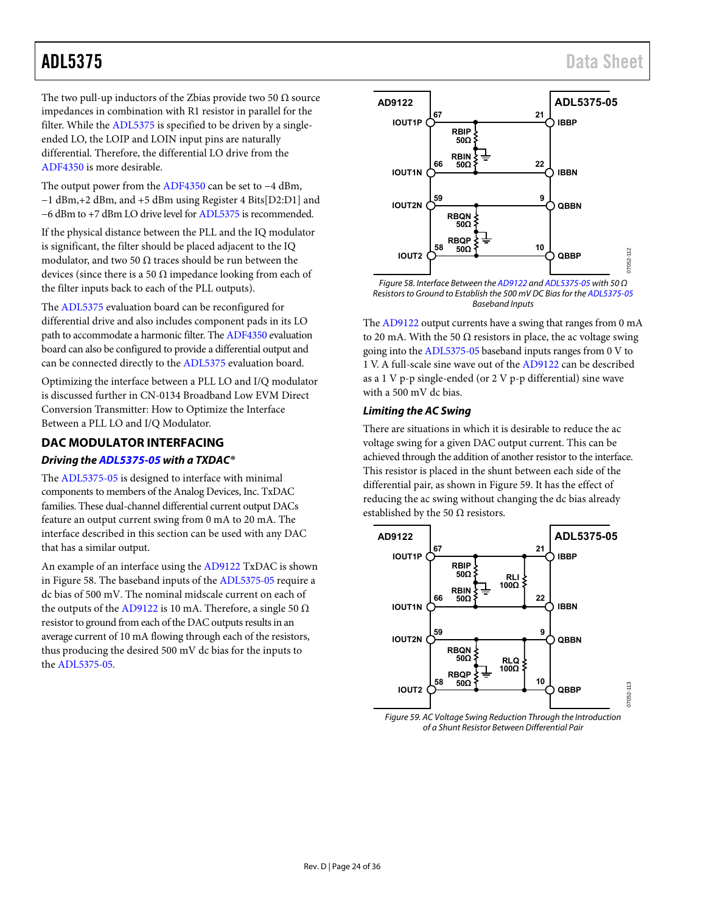The two pull-up inductors of the Zbias provide two 50  $\Omega$  source impedances in combination with R1 resistor in parallel for the filter. While th[e ADL5375](http://www.analog.com/ADL5375?doc=ADL5375.pdf) is specified to be driven by a singleended LO, the LOIP and LOIN input pins are naturally differential. Therefore, the differential LO drive from the [ADF4350 i](http://www.analog.com/ADF4350?doc=ADL5375.pdf)s more desirable.

The output power from th[e ADF4350](http://www.analog.com/ADF4350?doc=ADL5375.pdf) can be set to −4 dBm, −1 dBm,+2 dBm, and +5 dBm using Register 4 Bits[D2:D1] and −6 dBm to +7 dBm LO drive level fo[r ADL5375 i](http://www.analog.com/ADL5375?doc=ADL5375.pdf)s recommended.

If the physical distance between the PLL and the IQ modulator is significant, the filter should be placed adjacent to the IQ modulator, and two 50  $\Omega$  traces should be run between the devices (since there is a 50  $\Omega$  impedance looking from each of the filter inputs back to each of the PLL outputs).

The [ADL5375](http://www.analog.com/ADL5375?doc=ADL5375.pdf) evaluation board can be reconfigured for differential drive and also includes component pads in its LO path to accommodate a harmonic filter. Th[e ADF4350 e](http://www.analog.com/ADF4350?doc=ADL5375.pdf)valuation board can also be configured to provide a differential output and can be connected directly to the [ADL5375 e](http://www.analog.com/ADL5375?doc=ADL5375.pdf)valuation board.

Optimizing the interface between a PLL LO and I/Q modulator is discussed further in CN-0134 Broadband Low EVM Direct Conversion Transmitter: How to Optimize the Interface Between a PLL LO and I/Q Modulator.

### <span id="page-23-0"></span>**DAC MODULATOR INTERFACING**

### **Driving th[e ADL5375-05 w](http://www.analog.com/ADL5375?doc=ADL5375.pdf)ith a TXDAC®**

The [ADL5375-05 i](http://www.analog.com/ADL5375?doc=ADL5375.pdf)s designed to interface with minimal components to members of the Analog Devices, Inc. TxDAC families. These dual-channel differential current output DACs feature an output current swing from 0 mA to 20 mA. The interface described in this section can be used with any DAC that has a similar output.

An example of an interface using the [AD9122](http://www.analog.com/AD9122?doc=ADL5375.pdf) TxDAC is shown in [Figure 58.](#page-23-1) The baseband inputs of th[e ADL5375-05](http://www.analog.com/ADL5375?doc=ADL5375.pdf) require a dc bias of 500 mV. The nominal midscale current on each of the outputs of th[e AD9122](http://www.analog.com/AD9122?doc=ADL5375.pdf) is 10 mA. Therefore, a single 50  $\Omega$ resistor to ground from each of the DAC outputs results in an average current of 10 mA flowing through each of the resistors, thus producing the desired 500 mV dc bias for the inputs to the [ADL5375-05.](http://www.analog.com/ADL5375?doc=ADL5375.pdf) 



<span id="page-23-1"></span>Figure 58. Interface Between th[e AD9122 a](http://www.analog.com/AD9122?doc=ADL5375.pdf)n[d ADL5375-05 w](http://www.analog.com/ADL5375?doc=ADL5375.pdf)ith 50 Ω Resistors to Ground to Establish the 500 mV DC Bias for th[e ADL5375-05](http://www.analog.com/ADL5375?doc=ADL5375.pdf)  Baseband Inputs

Th[e AD9122 o](http://www.analog.com/AD9122?doc=ADL5375.pdf)utput currents have a swing that ranges from 0 mA to 20 mA. With the 50  $\Omega$  resistors in place, the ac voltage swing going into th[e ADL5375-05 b](http://www.analog.com/ADL5375?doc=ADL5375.pdf)aseband inputs ranges from 0 V to 1 V. A full-scale sine wave out of th[e AD9122](http://www.analog.com/AD9122?doc=ADL5375.pdf) can be described as a 1 V p-p single-ended (or 2 V p-p differential) sine wave with a 500 mV dc bias.

#### <span id="page-23-3"></span>**Limiting the AC Swing**

There are situations in which it is desirable to reduce the ac voltage swing for a given DAC output current. This can be achieved through the addition of another resistor to the interface. This resistor is placed in the shunt between each side of the differential pair, as shown i[n Figure 59.](#page-23-2) It has the effect of reducing the ac swing without changing the dc bias already established by the 50  $\Omega$  resistors.



<span id="page-23-2"></span>Figure 59. AC Voltage Swing Reduction Through the Introduction of a Shunt Resistor Between Differential Pair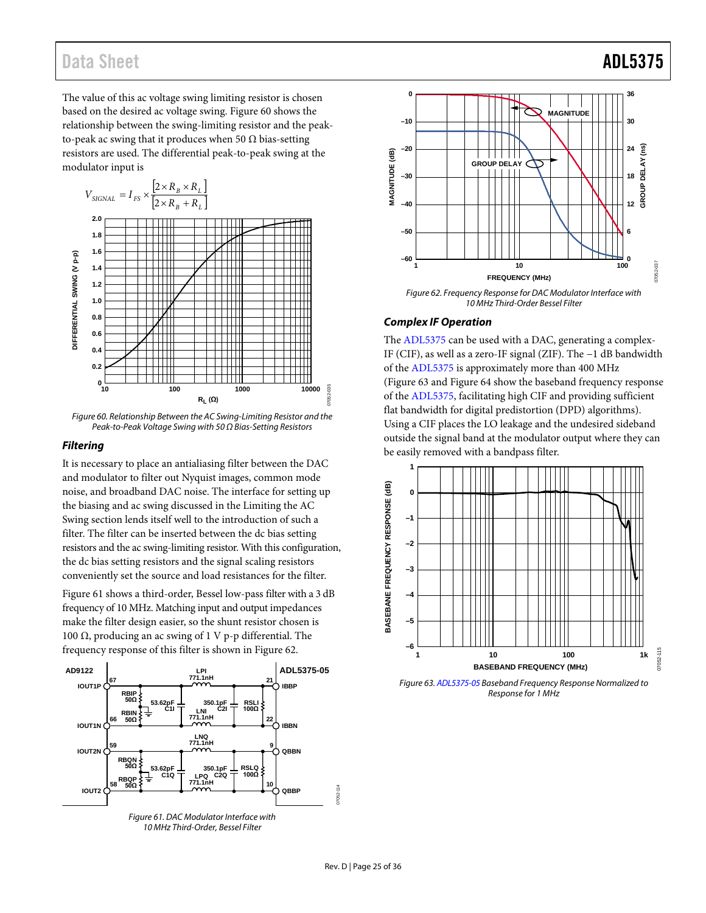The value of this ac voltage swing limiting resistor is chosen based on the desired ac voltage swing[. Figure 60](#page-24-0) shows the relationship between the swing-limiting resistor and the peakto-peak ac swing that it produces when 50  $\Omega$  bias-setting resistors are used. The differential peak-to-peak swing at the modulator input is



<span id="page-24-0"></span>*Figure 60. Relationship Between the AC Swing-Limiting Resistor and the Peak-to-Peak Voltage Swing with 50 Ω Bias-Setting Resistors*

#### *Filtering*

It is necessary to place an antialiasing filter between the DAC and modulator to filter out Nyquist images, common mode noise, and broadband DAC noise. The interface for setting up the biasing and ac swing discussed in the [Limiting the AC](#page-23-3)  [Swing](#page-23-3) section lends itself well to the introduction of such a filter. The filter can be inserted between the dc bias setting resistors and the ac swing-limiting resistor. With this configuration, the dc bias setting resistors and the signal scaling resistors conveniently set the source and load resistances for the filter.

[Figure 61](#page-24-1) shows a third-order, Bessel low-pass filter with a 3 dB frequency of 10 MHz. Matching input and output impedances make the filter design easier, so the shunt resistor chosen is 100 Ω, producing an ac swing of 1 V p-p differential. The frequency response of this filter is shown in [Figure 62.](#page-24-2)



<span id="page-24-1"></span>*10 MHz Third-Order, Bessel Filter*



<span id="page-24-2"></span>*Figure 62. Frequency Response for DAC Modulator Interface with 10 MHz Third-Order Bessel Filter*

#### *Complex IF Operation*

The [ADL5375](http://www.analog.com/ADL5375?doc=ADL5375.pdf) can be used with a DAC, generating a complex-IF (CIF), as well as a zero-IF signal (ZIF). The −1 dB bandwidth of the [ADL5375](http://www.analog.com/ADL5375?doc=ADL5375.pdf) is approximately more than 400 MHz [\(Figure 63](#page-24-3) an[d Figure 64](#page-25-0) show the baseband frequency response of the [ADL5375,](http://www.analog.com/ADL5375?doc=ADL5375.pdf) facilitating high CIF and providing sufficient flat bandwidth for digital predistortion (DPD) algorithms). Using a CIF places the LO leakage and the undesired sideband outside the signal band at the modulator output where they can be easily removed with a bandpass filter.



<span id="page-24-3"></span>*Figure 63[. ADL5375-05](http://www.analog.com/ADL5375?doc=ADL5375.pdf) Baseband Frequency Response Normalized to Response for 1 MHz*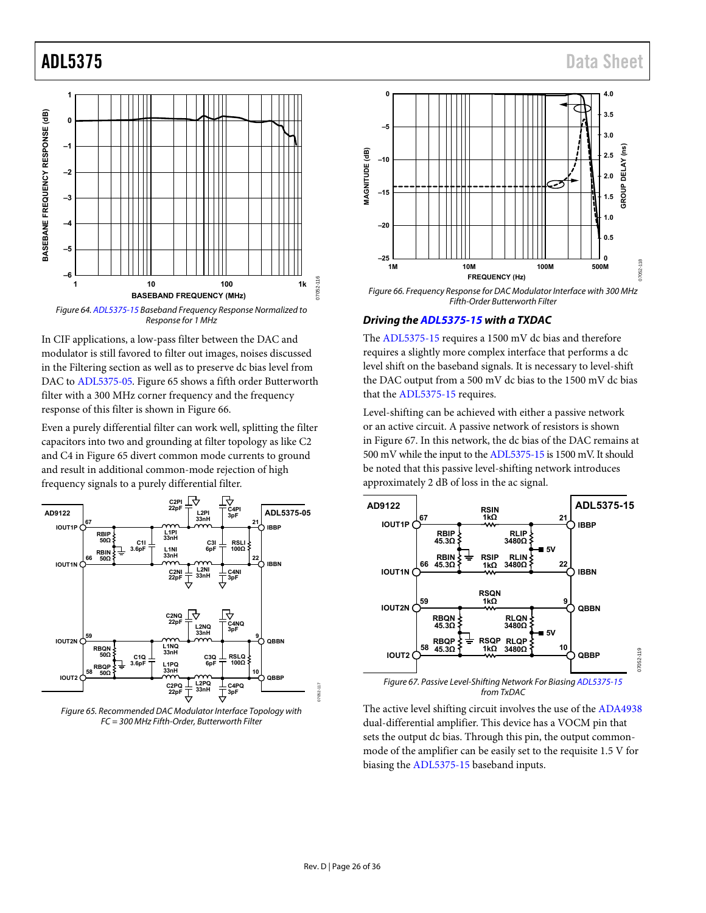

<span id="page-25-0"></span>Figure 64[. ADL5375-15 B](http://www.analog.com/ADL5375?doc=ADL5375.pdf)aseband Frequency Response Normalized to Response for 1 MHz

In CIF applications, a low-pass filter between the DAC and modulator is still favored to filter out images, noises discussed in the Filtering section as well as to preserve dc bias level from DAC t[o ADL5375-05.](http://www.analog.com/ADL5375?doc=ADL5375.pdf) [Figure 65 s](#page-25-1)hows a fifth order Butterworth filter with a 300 MHz corner frequency and the frequency response of this filter is shown in [Figure 66.](#page-25-2) 

Even a purely differential filter can work well, splitting the filter capacitors into two and grounding at filter topology as like C2 and C4 i[n Figure 65](#page-25-1) divert common mode currents to ground and result in additional common-mode rejection of high frequency signals to a purely differential filter.



<span id="page-25-1"></span>Figure 65. Recommended DAC Modulator Interface Topology with FC = 300 MHz Fifth-Order, Butterworth Filter



<span id="page-25-2"></span>Figure 66. Frequency Response for DAC Modulator Interface with 300 MHz Fifth-Order Butterworth Filter

#### **Driving th[e ADL5375-15 w](http://www.analog.com/ADL5375?doc=ADL5375.pdf)ith a TXDAC**

The [ADL5375-15 r](http://www.analog.com/ADL5375?doc=ADL5375.pdf)equires a 1500 mV dc bias and therefore requires a slightly more complex interface that performs a dc level shift on the baseband signals. It is necessary to level-shift the DAC output from a 500 mV dc bias to the 1500 mV dc bias that the [ADL5375-15 r](http://www.analog.com/ADL5375?doc=ADL5375.pdf)equires.

Level-shifting can be achieved with either a passive network or an active circuit. A passive network of resistors is shown in [Figure 67.](#page-25-3) In this network, the dc bias of the DAC remains at 500 mV while the input to th[e ADL5375-15](http://www.analog.com/ADL5375?doc=ADL5375.pdf) is 1500 mV. It should be noted that this passive level-shifting network introduces approximately 2 dB of loss in the ac signal.



<span id="page-25-3"></span>The active level shifting circuit involves the use of the [ADA4938](http://www.analog.com/ADA4938?doc=ADL3575.pdf) dual-differential amplifier. This device has a VOCM pin that sets the output dc bias. Through this pin, the output commonmode of the amplifier can be easily set to the requisite 1.5 V for biasing th[e ADL5375-15 b](http://www.analog.com/ADL5375?doc=ADL5375.pdf)aseband inputs.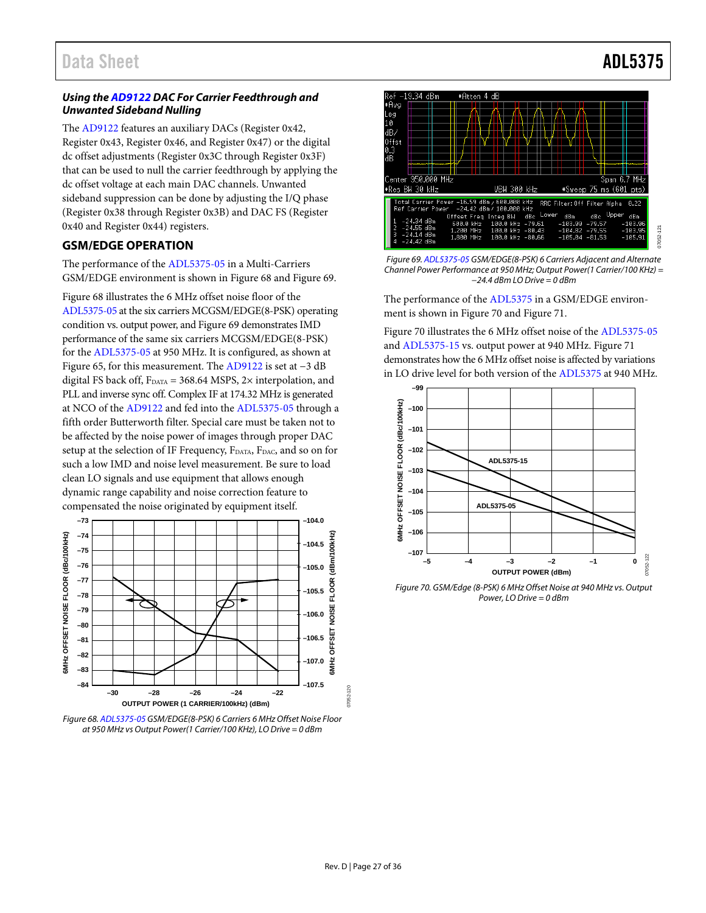#### *Using th[e AD9122](http://www.analog.com/AD9122?doc=ADL5375.pdf) DAC For Carrier Feedthrough and Unwanted Sideband Nulling*

The [AD9122](http://www.analog.com/AD9122?doc=ADL5375.pdf) features an auxiliary DACs (Register 0x42, Register 0x43, Register 0x46, and Register 0x47) or the digital dc offset adjustments (Register 0x3C through Register 0x3F) that can be used to null the carrier feedthrough by applying the dc offset voltage at each main DAC channels. Unwanted sideband suppression can be done by adjusting the I/Q phase (Register 0x38 through Register 0x3B) and DAC FS (Register 0x40 and Register 0x44) registers.

### <span id="page-26-0"></span>**GSM/EDGE OPERATION**

The performance of the [ADL5375-05](http://www.analog.com/ADL5375?doc=ADL5375.pdf) in a Multi-Carriers GSM/EDGE environment is shown in [Figure 68](#page-26-1) and [Figure 69.](#page-26-2)

[Figure 68](#page-26-1) illustrates the 6 MHz offset noise floor of the [ADL5375-05](http://www.analog.com/ADL5375?doc=ADL5375.pdf) at the six carriers MCGSM/EDGE(8-PSK) operating condition vs. output power, and [Figure 69](#page-26-2) demonstrates IMD performance of the same six carriers MCGSM/EDGE(8-PSK) for th[e ADL5375-05](http://www.analog.com/ADL5375?doc=ADL5375.pdf) at 950 MHz. It is configured, as shown at [Figure 65,](#page-25-1) for this measurement. Th[e AD9122](http://www.analog.com/AD9122?doc=ADL5375.pdf) is set at −3 dB digital FS back off,  $F_{DATA} = 368.64$  MSPS, 2× interpolation, and PLL and inverse sync off. Complex IF at 174.32 MHz is generated at NCO of th[e AD9122](http://www.analog.com/AD9122?doc=ADL5375.pdf) and fed into th[e ADL5375-05](http://www.analog.com/ADL5375?doc=ADL5375.pdf) through a fifth order Butterworth filter. Special care must be taken not to be affected by the noise power of images through proper DAC setup at the selection of IF Frequency, F<sub>DATA</sub>, F<sub>DAC</sub>, and so on for such a low IMD and noise level measurement. Be sure to load clean LO signals and use equipment that allows enough dynamic range capability and noise correction feature to compensated the noise originated by equipment itself.



<span id="page-26-1"></span>*Figure 68[. ADL5375-05](http://www.analog.com/ADL5375?doc=ADL5375.pdf) GSM/EDGE(8-PSK) 6 Carriers 6 MHz Offset Noise Floor at 950 MHz vs Output Power(1 Carrier/100 KHz), LO Drive = 0 dBm* 



<span id="page-26-2"></span>*Figure 69[. ADL5375-05](http://www.analog.com/ADL5375?doc=ADL5375.pdf) GSM/EDGE(8-PSK) 6 Carriers Adjacent and Alternate Channel Power Performance at 950 MHz; Output Power(1 Carrier/100 KHz) = −24.4 dBm LO Drive = 0 dBm* 

The performance of the [ADL5375](http://www.analog.com/ADL5375?doc=ADL5375.pdf) in a GSM/EDGE environment is shown in [Figure 70](#page-26-3) and [Figure 71.](#page-27-1)

[Figure 70](#page-26-3) illustrates the 6 MHz offset noise of th[e ADL5375-05](http://www.analog.com/ADL5375?doc=ADL5375.pdf) and [ADL5375-15](http://www.analog.com/ADL5375?doc=ADL5375.pdf) vs. output power at 940 MHz. [Figure 71](#page-27-1) demonstrates how the 6 MHz offset noise is affected by variations in LO drive level for both version of the [ADL5375](http://www.analog.com/ADL5375?doc=ADL5375.pdf) at 940 MHz.



<span id="page-26-3"></span>*Figure 70. GSM/Edge (8-PSK) 6 MHz Offset Noise at 940 MHz vs. Output Power, LO Drive = 0 dBm*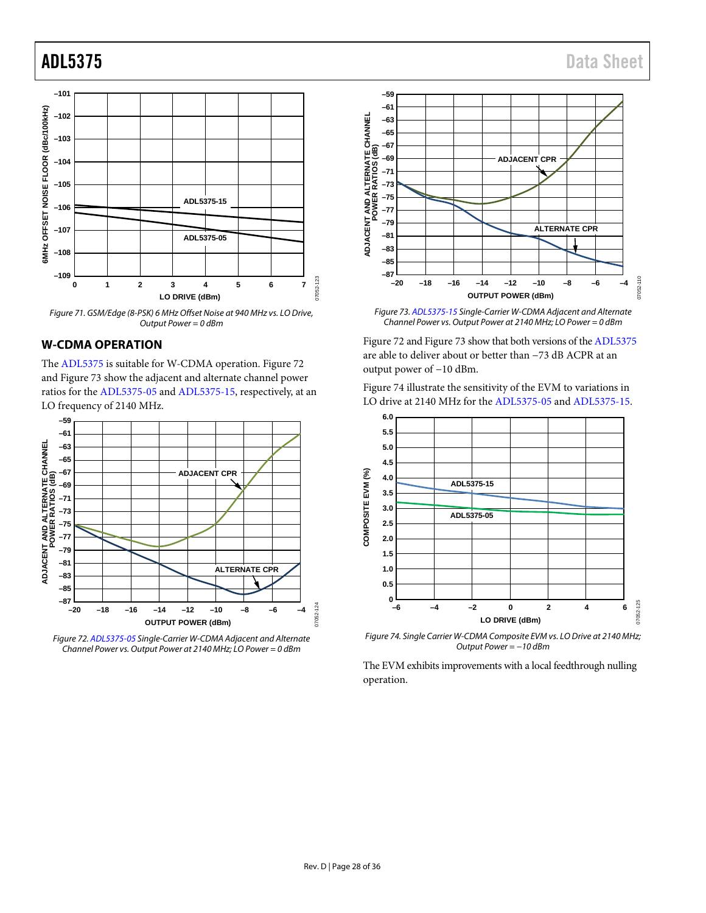

<span id="page-27-1"></span>*Figure 71. GSM/Edge (8-PSK) 6 MHz Offset Noise at 940 MHz vs. LO Drive, Output Power = 0 dBm*

#### <span id="page-27-0"></span>**W-CDMA OPERATION**

The [ADL5375](http://www.analog.com/ADL5375?doc=ADL5375.pdf) is suitable for W-CDMA operation. [Figure 72](#page-27-2) an[d Figure 73](#page-27-3) show the adjacent and alternate channel power ratios for the [ADL5375-05](http://www.analog.com/ADL5375?doc=ADL5375.pdf) an[d ADL5375-15,](http://www.analog.com/ADL5375?doc=ADL5375.pdf) respectively, at an LO frequency of 2140 MHz.



<span id="page-27-2"></span>*Figure 72[. ADL5375-05](http://www.analog.com/ADL5375?doc=ADL5375.pdf) Single-Carrier W-CDMA Adjacent and Alternate Channel Power vs. Output Power at 2140 MHz; LO Power = 0 dBm*



<span id="page-27-3"></span>*Figure 73[. ADL5375-15](http://www.analog.com/ADL5375?doc=ADL5375.pdf) Single-Carrier W-CDMA Adjacent and Alternate Channel Power vs. Output Power at 2140 MHz; LO Power = 0 dBm*

[Figure 72](#page-27-2) an[d Figure 73](#page-27-3) show that both versions of th[e ADL5375](http://www.analog.com/ADL5375?doc=ADL5375.pdf) are able to deliver about or better than −73 dB ACPR at an output power of −10 dBm.

[Figure 74](#page-27-4) illustrate the sensitivity of the EVM to variations in LO drive at 2140 MHz for th[e ADL5375-05](http://www.analog.com/ADL5375?doc=ADL5375.pdf) an[d ADL5375-15.](http://www.analog.com/ADL5375?doc=ADL5375.pdf)



<span id="page-27-4"></span>*Figure 74. Single Carrier W-CDMA Composite EVM vs. LO Drive at 2140 MHz; Output Power = −10 dBm*

The EVM exhibits improvements with a local feedthrough nulling operation.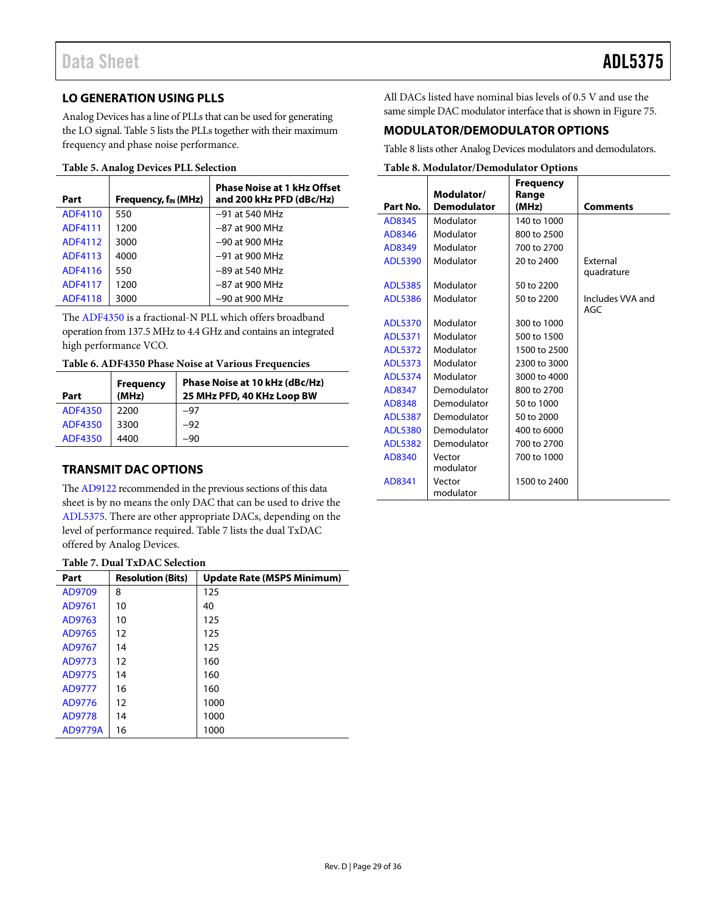### <span id="page-28-0"></span>**LO GENERATION USING PLLS**

Analog Devices has a line of PLLs that can be used for generating the LO signal. [Table 5](#page-28-3) lists the PLLs together with their maximum frequency and phase noise performance.

#### <span id="page-28-3"></span>**Table 5. Analog Devices PLL Selection**

| Part           | Frequency, $f_{IN}$ (MHz) | <b>Phase Noise at 1 kHz Offset</b><br>and 200 kHz PFD (dBc/Hz) |
|----------------|---------------------------|----------------------------------------------------------------|
| ADF4110        | 550                       | $-91$ at 540 MHz                                               |
| ADF4111        | 1200                      | $-87$ at 900 MHz                                               |
| ADF4112        | 3000                      | $-90$ at 900 MHz                                               |
| ADF4113        | 4000                      | $-91$ at 900 MHz                                               |
| ADF4116        | 550                       | $-89$ at 540 MHz                                               |
| <b>ADF4117</b> | 1200                      | $-87$ at 900 MHz                                               |
| <b>ADF4118</b> | 3000                      | $-90$ at 900 MHz                                               |

The [ADF4350](http://www.analog.com/ADF4350?doc=ADL5375.pdf) is a fractional-N PLL which offers broadband operation from 137.5 MHz to 4.4 GHz and contains an integrated high performance VCO.

#### **Table 6. ADF4350 Phase Noise at Various Frequencies**

| Part           | <b>Frequency</b><br>(MHz) | Phase Noise at 10 kHz (dBc/Hz)<br>25 MHz PFD, 40 KHz Loop BW |
|----------------|---------------------------|--------------------------------------------------------------|
| ADF4350        | 2200                      | $-97$                                                        |
| <b>ADF4350</b> | 3300                      | $-92$                                                        |
| <b>ADF4350</b> | 4400                      | -90                                                          |

### <span id="page-28-1"></span>**TRANSMIT DAC OPTIONS**

Th[e AD9122](http://www.analog.com/AD9122?doc=ADL5375.pdf) recommended in the previous sections of this data sheet is by no means the only DAC that can be used to drive the [ADL5375.](http://www.analog.com/ADL5375?doc=ADL5375.pdf) There are other appropriate DACs, depending on the level of performance required[. Table 7](#page-28-4) lists the dual TxDAC offered by Analog Devices.

#### <span id="page-28-4"></span>**Table 7. Dual TxDAC Selection**

| Part           | <b>Resolution (Bits)</b> | <b>Update Rate (MSPS Minimum)</b> |
|----------------|--------------------------|-----------------------------------|
| AD9709         | 8                        | 125                               |
| AD9761         | 10                       | 40                                |
| AD9763         | 10                       | 125                               |
| AD9765         | 12                       | 125                               |
| AD9767         | 14                       | 125                               |
| AD9773         | 12                       | 160                               |
| AD9775         | 14                       | 160                               |
| AD9777         | 16                       | 160                               |
| AD9776         | 12                       | 1000                              |
| AD9778         | 14                       | 1000                              |
| <b>AD9779A</b> | 16                       | 1000                              |

All DACs listed have nominal bias levels of 0.5 V and use the same simple DAC modulator interface that is shown i[n Figure 75.](#page-29-1)

### <span id="page-28-2"></span>**MODULATOR/DEMODULATOR OPTIONS**

[Table 8](#page-28-5) lists other Analog Devices modulators and demodulators.

#### <span id="page-28-5"></span>**Table 8. Modulator/Demodulator Options**

|                |                                  | Frequency      |                  |
|----------------|----------------------------------|----------------|------------------|
| Part No.       | Modulator/<br><b>Demodulator</b> | Range<br>(MHz) | <b>Comments</b>  |
|                |                                  |                |                  |
| AD8345         | Modulator                        | 140 to 1000    |                  |
| AD8346         | Modulator                        | 800 to 2500    |                  |
| AD8349         | Modulator                        | 700 to 2700    |                  |
| <b>ADL5390</b> | Modulator                        | 20 to 2400     | External         |
|                |                                  |                | quadrature       |
| <b>ADL5385</b> | Modulator                        | 50 to 2200     |                  |
| <b>ADL5386</b> | Modulator                        | 50 to 2200     | Includes VVA and |
|                |                                  |                | AGC              |
| <b>ADL5370</b> | Modulator                        | 300 to 1000    |                  |
| <b>ADL5371</b> | Modulator                        | 500 to 1500    |                  |
| <b>ADL5372</b> | Modulator                        | 1500 to 2500   |                  |
| <b>ADL5373</b> | Modulator                        | 2300 to 3000   |                  |
| <b>ADL5374</b> | Modulator                        | 3000 to 4000   |                  |
| AD8347         | Demodulator                      | 800 to 2700    |                  |
| AD8348         | Demodulator                      | 50 to 1000     |                  |
| <b>ADL5387</b> | Demodulator                      | 50 to 2000     |                  |
| <b>ADL5380</b> | Demodulator                      | 400 to 6000    |                  |
| <b>ADL5382</b> | Demodulator                      | 700 to 2700    |                  |
| AD8340         | Vector                           | 700 to 1000    |                  |
|                | modulator                        |                |                  |
| AD8341         | Vector<br>modulator              | 1500 to 2400   |                  |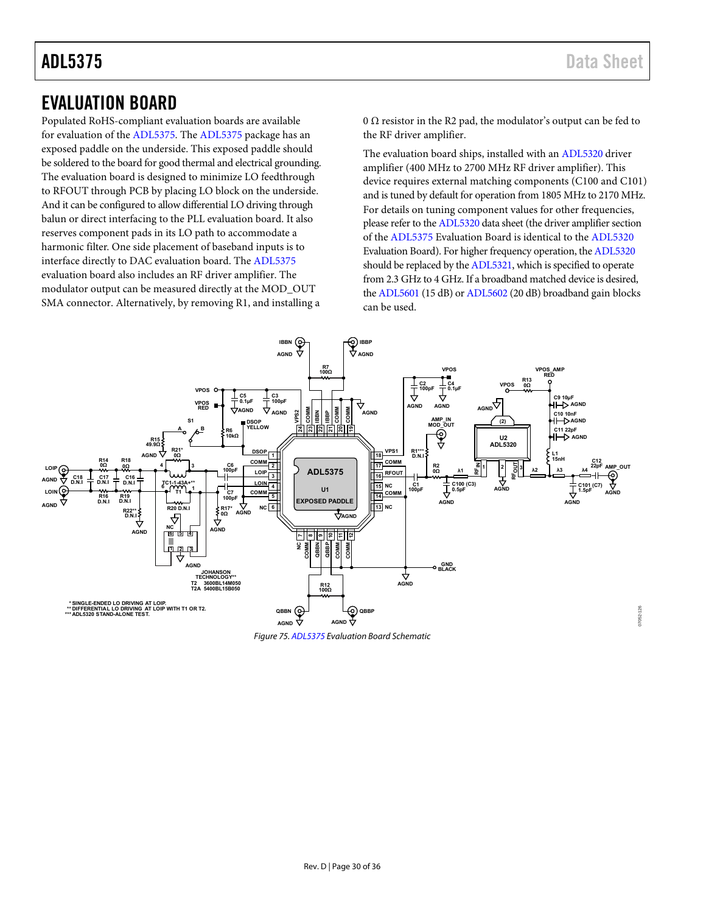07052-126

 $7052$ 

## <span id="page-29-0"></span>EVALUATION BOARD

Populated RoHS-compliant evaluation boards are available for evaluation of the [ADL5375.](http://www.analog.com/ADL5375?doc=ADL5375.pdf) Th[e ADL5375 p](http://www.analog.com/ADL5375?doc=ADL5375.pdf)ackage has an exposed paddle on the underside. This exposed paddle should be soldered to the board for good thermal and electrical grounding. The evaluation board is designed to minimize LO feedthrough to RFOUT through PCB by placing LO block on the underside. And it can be configured to allow differential LO driving through balun or direct interfacing to the PLL evaluation board. It also reserves component pads in its LO path to accommodate a harmonic filter. One side placement of baseband inputs is to interface directly to DAC evaluation board. The [ADL5375](http://www.analog.com/ADL5375?doc=ADL5375.pdf) evaluation board also includes an RF driver amplifier. The modulator output can be measured directly at the MOD\_OUT SMA connector. Alternatively, by removing R1, and installing a 0  $\Omega$  resistor in the R2 pad, the modulator's output can be fed to the RF driver amplifier.

The evaluation board ships, installed with a[n ADL5320](http://www.analog.com/ADL5320?doc=ADL5375.pdf) driver amplifier (400 MHz to 2700 MHz RF driver amplifier). This device requires external matching components (C100 and C101) and is tuned by default for operation from 1805 MHz to 2170 MHz. For details on tuning component values for other frequencies, please refer to th[e ADL5320 d](http://www.analog.com/ADL5320?doc=ADL5375.pdf)ata sheet (the driver amplifier section of the [ADL5375 E](http://www.analog.com/ADL5375?doc=ADL5375.pdf)valuation Board is identical to the [ADL5320](http://www.analog.com/ADL5320?doc=ADL5375.pdf) Evaluation Board). For higher frequency operation, th[e ADL5320](http://www.analog.com/ADL5320?doc=ADL5375.pdf) should be replaced by th[e ADL5321,](http://www.analog.com/ADL5321?doc=ADL5375.pdf) which is specified to operate from 2.3 GHz to 4 GHz. If a broadband matched device is desired, th[e ADL5601 \(](http://www.analog.com/ADL5601?doc=ADL5375.pdf)15 dB) o[r ADL5602](http://www.analog.com/ADL5602?doc=ADL5375.pdf) (20 dB) broadband gain blocks can be used.



<span id="page-29-1"></span>Figure 75[. ADL5375 E](http://www.analog.com/ADL5375?doc=ADL5375.pdf)valuation Board Schematic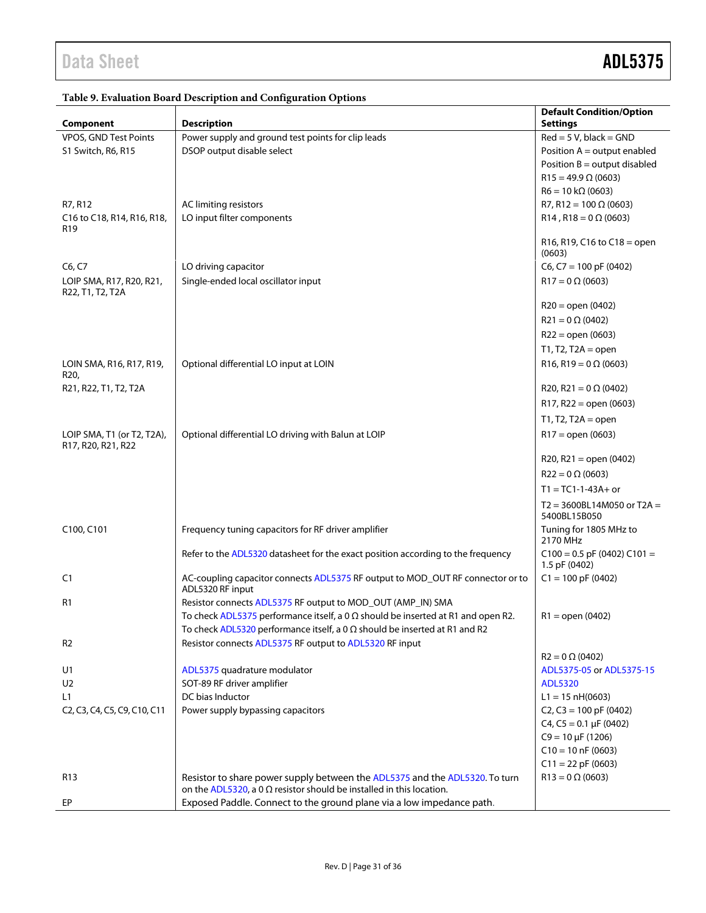| Component                                                                                                              | <b>Description</b>                                                                                                                                         | <b>Default Condition/Option</b><br><b>Settings</b> |
|------------------------------------------------------------------------------------------------------------------------|------------------------------------------------------------------------------------------------------------------------------------------------------------|----------------------------------------------------|
| VPOS, GND Test Points                                                                                                  | Power supply and ground test points for clip leads                                                                                                         | $Red = 5 V$ , black = GND                          |
| S1 Switch, R6, R15                                                                                                     | DSOP output disable select                                                                                                                                 | Position $A =$ output enabled                      |
|                                                                                                                        |                                                                                                                                                            | Position $B =$ output disabled                     |
|                                                                                                                        |                                                                                                                                                            | $R15 = 49.9 \Omega (0603)$                         |
|                                                                                                                        |                                                                                                                                                            | $R6 = 10 k\Omega (0603)$                           |
| R7, R12                                                                                                                | AC limiting resistors                                                                                                                                      | R7, R12 = 100 $\Omega$ (0603)                      |
| C16 to C18, R14, R16, R18,                                                                                             | LO input filter components                                                                                                                                 | $R14$ , $R18 = 0 \Omega$ (0603)                    |
| R <sub>19</sub>                                                                                                        |                                                                                                                                                            |                                                    |
|                                                                                                                        |                                                                                                                                                            | R16, R19, C16 to C18 = open<br>(0603)              |
| C6, C7                                                                                                                 | LO driving capacitor                                                                                                                                       | $C6, C7 = 100$ pF (0402)                           |
| LOIP SMA, R17, R20, R21,<br>R22, T1, T2, T2A                                                                           | Single-ended local oscillator input                                                                                                                        | $R17 = 0 \Omega (0603)$                            |
|                                                                                                                        |                                                                                                                                                            | $R20 = open (0402)$                                |
|                                                                                                                        |                                                                                                                                                            | $R21 = 0 \Omega (0402)$                            |
|                                                                                                                        |                                                                                                                                                            | $R22 = open (0603)$                                |
|                                                                                                                        |                                                                                                                                                            | $T1, T2, T2A = open$                               |
| LOIN SMA, R16, R17, R19,                                                                                               | Optional differential LO input at LOIN                                                                                                                     | R16, R19 = $0 \Omega (0603)$                       |
| R <sub>20</sub> ,                                                                                                      |                                                                                                                                                            |                                                    |
| R21, R22, T1, T2, T2A                                                                                                  |                                                                                                                                                            | R20, R21 = $0 \Omega$ (0402)                       |
|                                                                                                                        |                                                                                                                                                            | $R17, R22 = open (0603)$                           |
|                                                                                                                        |                                                                                                                                                            | $T1, T2, T2A = open$                               |
| LOIP SMA, T1 (or T2, T2A),                                                                                             | Optional differential LO driving with Balun at LOIP                                                                                                        | $R17 = open (0603)$                                |
| R17, R20, R21, R22                                                                                                     |                                                                                                                                                            | $R20, R21 = open (0402)$                           |
|                                                                                                                        |                                                                                                                                                            | $R22 = 0 \Omega (0603)$                            |
|                                                                                                                        |                                                                                                                                                            | $T1 = TC1 - 1 - 43A + or$                          |
|                                                                                                                        |                                                                                                                                                            | $T2 = 3600BL14M050$ or $T2A =$<br>5400BL15B050     |
| C100, C101                                                                                                             | Frequency tuning capacitors for RF driver amplifier                                                                                                        | Tuning for 1805 MHz to<br>2170 MHz                 |
|                                                                                                                        | Refer to the ADL5320 datasheet for the exact position according to the frequency                                                                           | $C100 = 0.5$ pF (0402) $C101 =$<br>1.5 pF (0402)   |
| C <sub>1</sub>                                                                                                         | AC-coupling capacitor connects ADL5375 RF output to MOD_OUT RF connector or to<br>ADL5320 RF input                                                         | $C1 = 100$ pF (0402)                               |
| R1                                                                                                                     | Resistor connects ADL5375 RF output to MOD_OUT (AMP_IN) SMA                                                                                                |                                                    |
|                                                                                                                        | To check ADL5375 performance itself, a 0 $\Omega$ should be inserted at R1 and open R2.                                                                    | $R1 =$ open (0402)                                 |
|                                                                                                                        | To check ADL5320 performance itself, a 0 $\Omega$ should be inserted at R1 and R2                                                                          |                                                    |
| R <sub>2</sub>                                                                                                         | Resistor connects ADL5375 RF output to ADL5320 RF input                                                                                                    |                                                    |
|                                                                                                                        |                                                                                                                                                            | $R2 = 0 \Omega (0402)$                             |
| U1                                                                                                                     | ADL5375 quadrature modulator                                                                                                                               | ADL5375-05 or ADL5375-15                           |
| U <sub>2</sub>                                                                                                         | SOT-89 RF driver amplifier                                                                                                                                 | <b>ADL5320</b>                                     |
| L1                                                                                                                     | DC bias Inductor                                                                                                                                           | $L1 = 15$ nH(0603)                                 |
| C <sub>2</sub> , C <sub>3</sub> , C <sub>4</sub> , C <sub>5</sub> , C <sub>9</sub> , C <sub>10</sub> , C <sub>11</sub> | Power supply bypassing capacitors                                                                                                                          | C <sub>2</sub> , C <sub>3</sub> = 100 pF (0402)    |
|                                                                                                                        |                                                                                                                                                            | $C4$ , $C5 = 0.1 \mu F (0402)$                     |
|                                                                                                                        |                                                                                                                                                            | $C9 = 10 \mu F (1206)$                             |
|                                                                                                                        |                                                                                                                                                            | $C10 = 10$ nF (0603)                               |
|                                                                                                                        |                                                                                                                                                            | $C11 = 22$ pF (0603)                               |
| R <sub>13</sub>                                                                                                        | Resistor to share power supply between the ADL5375 and the ADL5320. To turn<br>on the ADL5320, a 0 $\Omega$ resistor should be installed in this location. | $R13 = 0 \Omega (0603)$                            |
| EP                                                                                                                     | Exposed Paddle. Connect to the ground plane via a low impedance path.                                                                                      |                                                    |

### **Table 9. Evaluation Board Description and Configuration Options**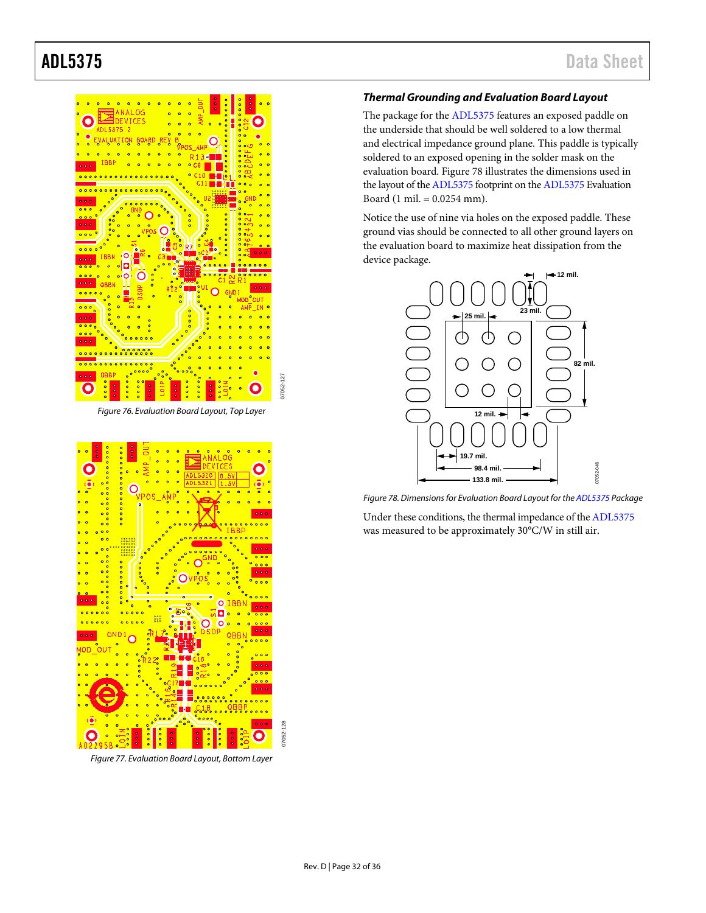

*Figure 76. Evaluation Board Layout, Top Layer*

07052-127

07052-128



*Figure 77. Evaluation Board Layout, Bottom Layer*

#### <span id="page-31-0"></span>*Thermal Grounding and Evaluation Board Layout*

The package for the [ADL5375](http://www.analog.com/ADL5375?doc=ADL5375.pdf) features an exposed paddle on the underside that should be well soldered to a low thermal and electrical impedance ground plane. This paddle is typically soldered to an exposed opening in the solder mask on the evaluation board. [Figure 78](#page-31-1) illustrates the dimensions used in the layout of th[e ADL5375](http://www.analog.com/ADL5375?doc=ADL5375.pdf) footprint on th[e ADL5375](http://www.analog.com/ADL5375?doc=ADL5375.pdf) Evaluation Board (1 mil. = 0.0254 mm).

Notice the use of nine via holes on the exposed paddle. These ground vias should be connected to all other ground layers on the evaluation board to maximize heat dissipation from the device package.



<span id="page-31-1"></span>*Figure 78. Dimensions for Evaluation Board Layout for th[e ADL5375](http://www.analog.com/ADL5375?doc=ADL5375.pdf) Package*

Under these conditions, the thermal impedance of th[e ADL5375](http://www.analog.com/ADL5375?doc=ADL5375.pdf) was measured to be approximately 30°C/W in still air.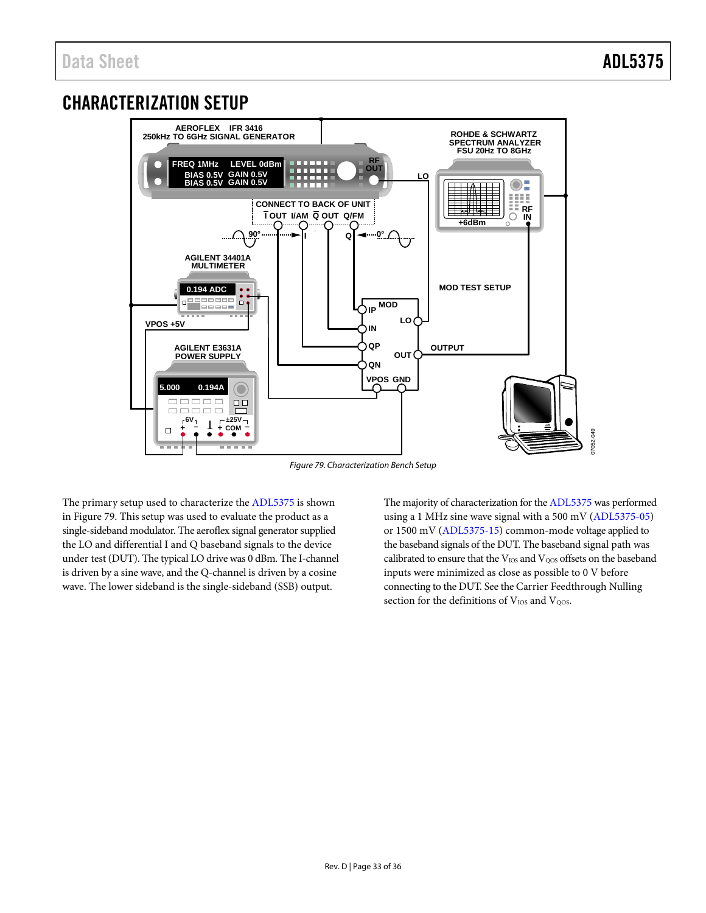## <span id="page-32-0"></span>CHARACTERIZATION SETUP



*Figure 79. Characterization Bench Setup*

<span id="page-32-1"></span>The primary setup used to characterize th[e ADL5375](http://www.analog.com/ADL5375?doc=ADL5375.pdf) is shown in [Figure 79.](#page-32-1) This setup was used to evaluate the product as a single-sideband modulator. The aeroflex signal generator supplied the LO and differential I and Q baseband signals to the device under test (DUT). The typical LO drive was 0 dBm. The I-channel is driven by a sine wave, and the Q-channel is driven by a cosine wave. The lower sideband is the single-sideband (SSB) output.

The majority of characterization for th[e ADL5375](http://www.analog.com/ADL5375?doc=ADL5375.pdf) was performed using a 1 MHz sine wave signal with a 500 mV [\(ADL5375-05\)](http://www.analog.com/ADL5375?doc=ADL5375.pdf) or 1500 mV [\(ADL5375-15\)](http://www.analog.com/ADL5375?doc=ADL5375.pdf) common-mode voltage applied to the baseband signals of the DUT. The baseband signal path was calibrated to ensure that the  $V_{\rm IOS}$  and  $V_{\rm QOS}$  offsets on the baseband inputs were minimized as close as possible to 0 V before connecting to the DUT. See th[e Carrier Feedthrough](#page-21-1) Nulling section for the definitions of VIOS and VQOS.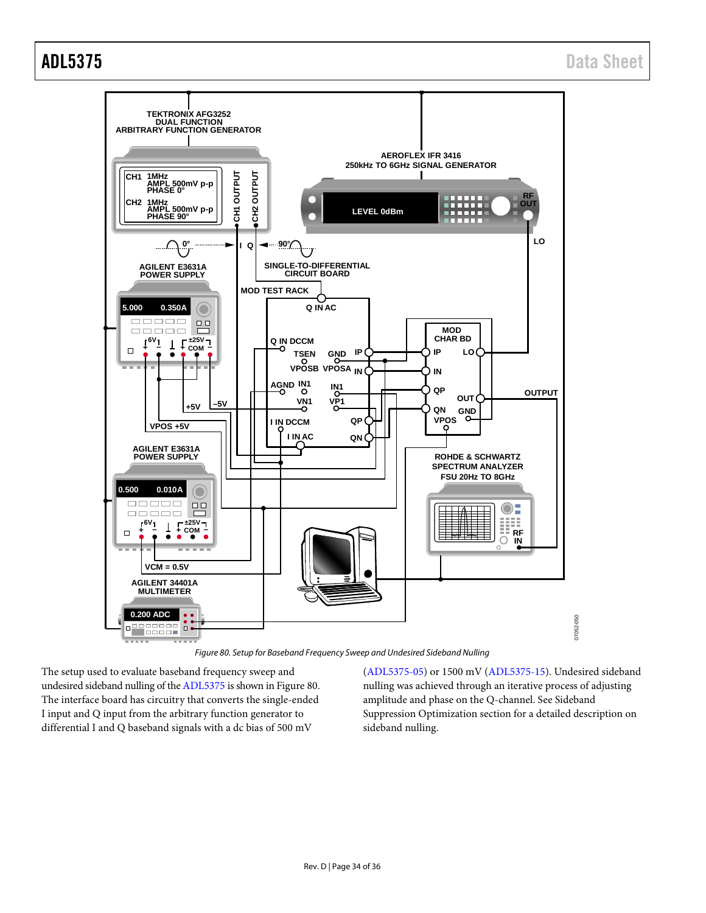

*Figure 80. Setup for Baseband Frequency Sweep and Undesired Sideband Nulling*

<span id="page-33-0"></span>The setup used to evaluate baseband frequency sweep and undesired sideband nulling of th[e ADL5375](http://www.analog.com/ADL5375?doc=ADL5375.pdf) is shown i[n Figure 80.](#page-33-0) The interface board has circuitry that converts the single-ended I input and Q input from the arbitrary function generator to differential I and Q baseband signals with a dc bias of 500 mV

[\(ADL5375-05\)](http://www.analog.com/ADL5375?doc=ADL5375.pdf) or 1500 mV [\(ADL5375-15\)](http://www.analog.com/ADL5375?doc=ADL5375.pdf). Undesired sideband nulling was achieved through an iterative process of adjusting amplitude and phase on the Q-channel. Se[e Sideband](#page-21-2)  [Suppression Optimization](#page-21-2) section for a detailed description on sideband nulling.

07052-050

050-23070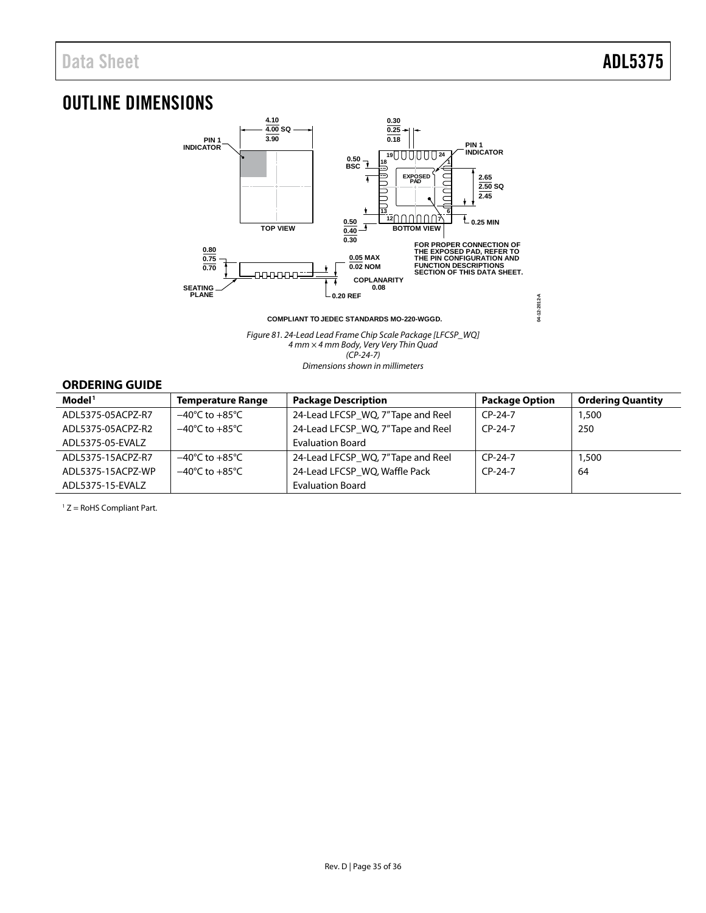## <span id="page-34-0"></span>OUTLINE DIMENSIONS



**COMPLIANT TO JEDEC STANDARDS MO-220-WGGD.**

*Figure 81. 24-Lead Lead Frame Chip Scale Package [LFCSP\_WQ] 4 mm × 4 mm Body, Very Very Thin Quad (CP-24-7) Dimensions shown in millimeters*

### <span id="page-34-1"></span>**ORDERING GUIDE**

| Model <sup>1</sup> | <b>Temperature Range</b>           | <b>Package Description</b>        | <b>Package Option</b> | <b>Ordering Quantity</b> |
|--------------------|------------------------------------|-----------------------------------|-----------------------|--------------------------|
| ADL5375-05ACPZ-R7  | $-40^{\circ}$ C to $+85^{\circ}$ C | 24-Lead LFCSP_WQ, 7"Tape and Reel | $CP-24-7$             | 1,500                    |
| ADL5375-05ACPZ-R2  | $-40^{\circ}$ C to $+85^{\circ}$ C | 24-Lead LFCSP_WQ, 7"Tape and Reel | $CP-24-7$             | 250                      |
| ADL5375-05-EVALZ   |                                    | <b>Evaluation Board</b>           |                       |                          |
| ADL5375-15ACPZ-R7  | $-40^{\circ}$ C to $+85^{\circ}$ C | 24-Lead LFCSP WQ, 7"Tape and Reel | $CP-24-7$             | 1,500                    |
| ADL5375-15ACPZ-WP  | $-40^{\circ}$ C to $+85^{\circ}$ C | 24-Lead LFCSP_WQ, Waffle Pack     | $CP-24-7$             | 64                       |
| ADL5375-15-EVALZ   |                                    | <b>Evaluation Board</b>           |                       |                          |

 $1 Z =$  RoHS Compliant Part.